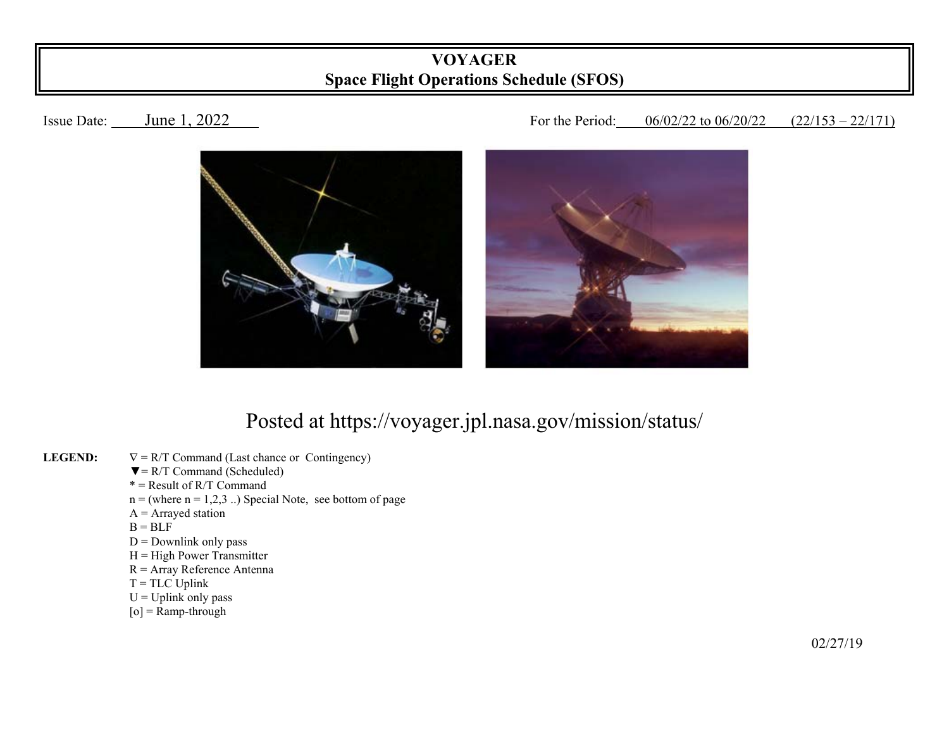## **VOYAGER Space Flight Operations Schedule (SFOS)**

## Issue Date: June 1, 2022 1002/22 Louis 106/02/22 to 06/20/22 (22/153 – 22/171)



## Posted at https://voyager.jpl.nasa.gov/mission/status/

- **LEGEND:**   $\nabla = R/T$  Command (Last chance or Contingency)
	- $\nabla = R/T$  Command (Scheduled)
- $* =$ Result of R/T Command
	- $n =$  (where  $n = 1,2,3$ ...) Special Note, see bottom of page
	- $A =$  Arrayed station
- $B = BLF$ 
	- $D =$  Downlink only pass
	- $H = High Power Transmitter$
	- R = Array Reference Antenna
	- $T = TLC$  Uplink
	- $U = U$ plink only pass
	- $[o]$  = Ramp-through

 $\frac{02}{27/19}$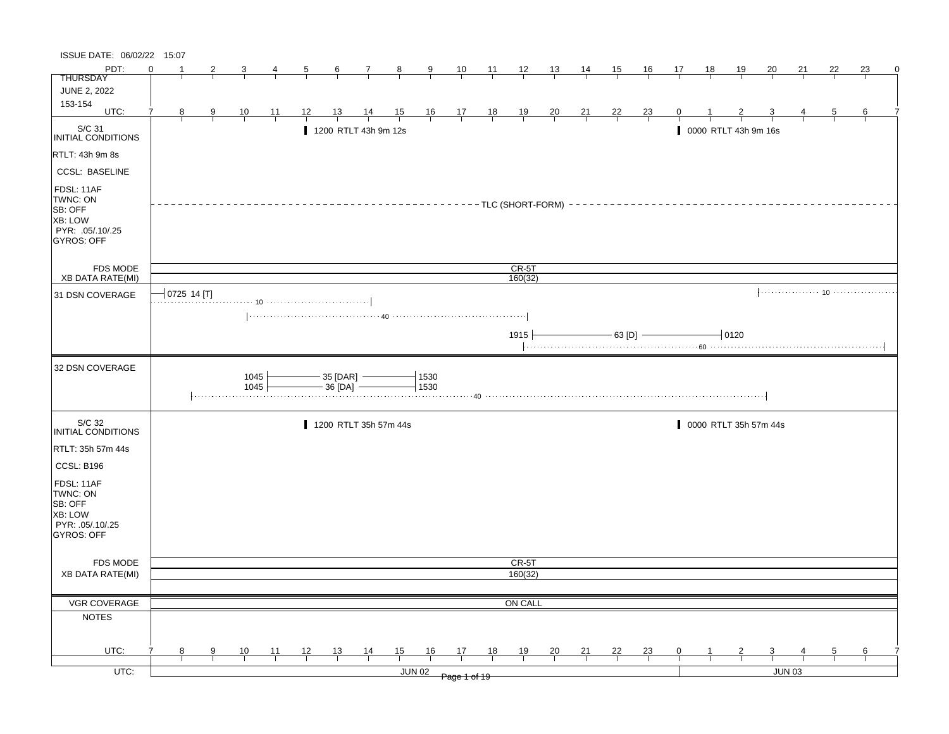| ISSUE DATE: 06/02/22 15:07                                                                          |          |             |   |                |                |    |                                   |                |                       |               |                                                               |                |                         |                |                |                |                |    |    |                       |           |           |    |    |   |
|-----------------------------------------------------------------------------------------------------|----------|-------------|---|----------------|----------------|----|-----------------------------------|----------------|-----------------------|---------------|---------------------------------------------------------------|----------------|-------------------------|----------------|----------------|----------------|----------------|----|----|-----------------------|-----------|-----------|----|----|---|
| PDT:                                                                                                | $\Omega$ |             |   |                |                | 5  | 6                                 | $\mathbf{7}$   | 8                     | $\frac{9}{2}$ | 10                                                            | $\frac{11}{2}$ | $\frac{12}{ }$          | <u> 13  </u>   | $\frac{14}{1}$ | 15             | 16             | 17 | 18 | <u>19</u>             | <u>20</u> | <u>21</u> | 22 | 23 | 0 |
| <b>THURSDAY</b>                                                                                     |          |             |   |                |                |    |                                   |                |                       |               |                                                               |                |                         |                |                |                |                |    |    |                       |           |           |    |    |   |
| <b>JUNE 2, 2022</b><br>153-154                                                                      |          |             |   |                |                |    |                                   |                |                       |               |                                                               |                |                         |                |                |                |                |    |    |                       |           |           |    |    |   |
| UTC:                                                                                                | 7        | 8           | 9 | $\frac{10}{1}$ | $\frac{11}{1}$ | 12 | <u>13</u>                         | $\frac{14}{1}$ | $\frac{15}{1}$        |               | $\begin{array}{c ccccc}\n16 & 17 & 18 \\ \hline\n\end{array}$ |                | $\frac{19}{1}$          | $\frac{20}{1}$ | $\frac{21}{1}$ | $\frac{22}{1}$ | $\frac{23}{1}$ | 0  |    |                       |           |           | 5  | 6  |   |
| S/C 31<br>INITIAL CONDITIONS                                                                        |          |             |   |                |                |    | 1200 RTLT 43h 9m 12s              |                |                       |               |                                                               |                |                         |                |                |                |                |    |    | 0000 RTLT 43h 9m 16s  |           |           |    |    |   |
| RTLT: 43h 9m 8s                                                                                     |          |             |   |                |                |    |                                   |                |                       |               |                                                               |                |                         |                |                |                |                |    |    |                       |           |           |    |    |   |
| <b>CCSL: BASELINE</b>                                                                               |          |             |   |                |                |    |                                   |                |                       |               |                                                               |                |                         |                |                |                |                |    |    |                       |           |           |    |    |   |
| FDSL: 11AF<br>TWNC: ON<br><b>SB: OFF</b><br><b>XB: LOW</b><br>PYR: .05/.10/.25<br><b>GYROS: OFF</b> |          |             |   |                |                |    |                                   |                |                       |               |                                                               |                | $---TLC$ (SHORT-FORM) - |                |                |                |                |    |    |                       |           |           |    |    |   |
| <b>FDS MODE</b><br><b>XB DATA RATE(MI)</b>                                                          |          |             |   |                |                |    |                                   |                |                       |               |                                                               |                | CR-5T<br>160(32)        |                |                |                |                |    |    |                       |           |           |    |    |   |
| 31 DSN COVERAGE                                                                                     |          | 0725 14 [T] |   |                |                |    |                                   |                |                       |               |                                                               |                |                         |                |                |                |                |    |    |                       |           |           |    |    |   |
|                                                                                                     |          |             |   |                |                |    |                                   |                |                       |               |                                                               |                |                         |                |                |                |                |    |    |                       |           |           |    |    |   |
|                                                                                                     |          |             |   |                |                |    |                                   |                |                       |               |                                                               |                | $1915 +$                |                |                |                | $-$ 63 [D] $-$ |    |    | $-10120$              |           |           |    |    |   |
| 32 DSN COVERAGE                                                                                     |          |             |   | 1045<br>1045   |                |    | $-35$ [DAR] $-$<br>$-36$ [DA] $-$ |                |                       | 1530<br>1530  |                                                               |                |                         |                |                |                |                |    |    |                       |           |           |    |    |   |
| S/C 32<br>INITIAL CONDITIONS                                                                        |          |             |   |                |                |    |                                   |                | 1200 RTLT 35h 57m 44s |               |                                                               |                |                         |                |                |                |                |    |    | 0000 RTLT 35h 57m 44s |           |           |    |    |   |
| RTLT: 35h 57m 44s                                                                                   |          |             |   |                |                |    |                                   |                |                       |               |                                                               |                |                         |                |                |                |                |    |    |                       |           |           |    |    |   |
| CCSL: B196                                                                                          |          |             |   |                |                |    |                                   |                |                       |               |                                                               |                |                         |                |                |                |                |    |    |                       |           |           |    |    |   |
| FDSL: 11AF<br>TWNC: ON<br>SB: OFF<br>XB: LOW<br>PYR: .05/.10/.25<br>GYROS: OFF                      |          |             |   |                |                |    |                                   |                |                       |               |                                                               |                |                         |                |                |                |                |    |    |                       |           |           |    |    |   |
| <b>FDS MODE</b>                                                                                     |          |             |   |                |                |    |                                   |                |                       |               |                                                               |                | CR-5T                   |                |                |                |                |    |    |                       |           |           |    |    |   |
| <b>XB DATA RATE(MI)</b>                                                                             |          |             |   |                |                |    |                                   |                |                       |               |                                                               |                | 160(32)                 |                |                |                |                |    |    |                       |           |           |    |    |   |
|                                                                                                     |          |             |   |                |                |    |                                   |                |                       |               |                                                               |                |                         |                |                |                |                |    |    |                       |           |           |    |    |   |
| VGR COVERAGE                                                                                        |          |             |   |                |                |    |                                   |                |                       |               |                                                               |                | ON CALL                 |                |                |                |                |    |    |                       |           |           |    |    |   |
| <b>NOTES</b>                                                                                        |          |             |   |                |                |    |                                   |                |                       |               |                                                               |                |                         |                |                |                |                |    |    |                       |           |           |    |    |   |
| UTC:                                                                                                |          | 8           | 9 | 10             | 11             | 12 | 13                                | $\frac{14}{1}$ | 15                    | 16            | 17                                                            | 18             | 19                      | 20             | 21             | 22             | $\frac{23}{2}$ | 0  |    |                       |           |           | 5  | 6  |   |
| $UTC$ :                                                                                             |          |             |   |                |                |    |                                   |                |                       | <b>JUN 02</b> |                                                               |                |                         |                |                |                |                |    |    |                       |           | JUN 03    |    |    |   |
|                                                                                                     |          |             |   |                |                |    |                                   |                |                       |               | Page 1 of 19                                                  |                |                         |                |                |                |                |    |    |                       |           |           |    |    |   |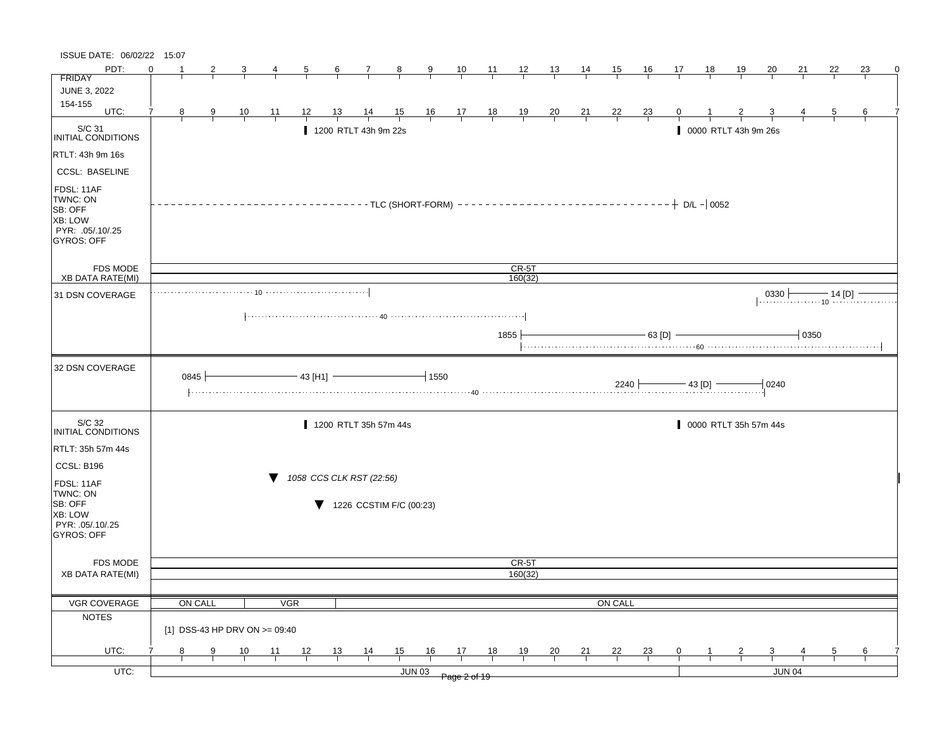| ISSUE DATE: 06/02/22 15:07                 |          |         |   |                               |    |                          |                  |                         |                |                                          |                                                                |       |                  |                |                |                     |                            |    |                |                       |               |          |             |                                           |   |
|--------------------------------------------|----------|---------|---|-------------------------------|----|--------------------------|------------------|-------------------------|----------------|------------------------------------------|----------------------------------------------------------------|-------|------------------|----------------|----------------|---------------------|----------------------------|----|----------------|-----------------------|---------------|----------|-------------|-------------------------------------------|---|
| PDT:                                       | $\Omega$ |         |   |                               |    | 5                        | $6 \overline{6}$ | $\mathbf{7}$            | $\frac{8}{2}$  | $\frac{9}{2}$                            | 10                                                             | $-11$ | $\frac{12}{ }$   | 13             | $\frac{14}{1}$ | 15                  | <u>16</u>                  | 17 | 18             | <u> 19</u>            | <u>20</u>     | 21       | 22          | 23                                        | 0 |
| <b>FRIDAY</b>                              |          |         |   |                               |    |                          |                  |                         |                |                                          |                                                                |       |                  |                |                |                     |                            |    |                |                       |               |          |             |                                           |   |
| JUNE 3, 2022                               |          |         |   |                               |    |                          |                  |                         |                |                                          |                                                                |       |                  |                |                |                     |                            |    |                |                       |               |          |             |                                           |   |
| 154-155<br>UTC:                            | 7        | 8       | 9 | $\frac{10}{1}$                | 11 | 12                       | 13               | $\frac{14}{1}$          | $\frac{15}{1}$ |                                          | $\begin{array}{c cc} 16 & 17 & 18 \\ \hline & & & \end{array}$ |       | $\frac{19}{1}$   | $\frac{20}{1}$ | $\frac{21}{1}$ | $\frac{22}{1}$      | $\frac{23}{1}$             |    |                |                       |               |          | 5           | 6                                         |   |
| S/C 31                                     |          |         |   |                               |    |                          |                  | 1200 RTLT 43h 9m 22s    |                |                                          |                                                                |       |                  |                |                |                     |                            |    |                | 0000 RTLT 43h 9m 26s  |               |          |             |                                           |   |
| INITIAL CONDITIONS                         |          |         |   |                               |    |                          |                  |                         |                |                                          |                                                                |       |                  |                |                |                     |                            |    |                |                       |               |          |             |                                           |   |
| RTLT: 43h 9m 16s                           |          |         |   |                               |    |                          |                  |                         |                |                                          |                                                                |       |                  |                |                |                     |                            |    |                |                       |               |          |             |                                           |   |
| <b>CCSL: BASELINE</b>                      |          |         |   |                               |    |                          |                  |                         |                |                                          |                                                                |       |                  |                |                |                     |                            |    |                |                       |               |          |             |                                           |   |
| FDSL: 11AF<br>TWNC: ON<br>SB: OFF          |          |         |   |                               |    |                          |                  |                         |                | $-$ - TLC (SHORT-FORM) - - - - - - - - - |                                                                |       |                  |                |                |                     | $------------+ D/L - 0052$ |    |                |                       |               |          |             |                                           |   |
| <b>XB: LOW</b><br>PYR: .05/.10/.25         |          |         |   |                               |    |                          |                  |                         |                |                                          |                                                                |       |                  |                |                |                     |                            |    |                |                       |               |          |             |                                           |   |
| GYROS: OFF                                 |          |         |   |                               |    |                          |                  |                         |                |                                          |                                                                |       |                  |                |                |                     |                            |    |                |                       |               |          |             |                                           |   |
|                                            |          |         |   |                               |    |                          |                  |                         |                |                                          |                                                                |       |                  |                |                |                     |                            |    |                |                       |               |          |             |                                           |   |
| <b>FDS MODE</b><br><b>XB DATA RATE(MI)</b> |          |         |   |                               |    |                          |                  |                         |                |                                          |                                                                |       | CR-5T<br>160(32) |                |                |                     |                            |    |                |                       |               |          |             |                                           |   |
| 31 DSN COVERAGE                            |          |         |   | . 10                          |    |                          |                  |                         |                |                                          |                                                                |       |                  |                |                |                     |                            |    |                |                       | $0330 +$      |          | — 14 [D]  – |                                           |   |
|                                            |          |         |   |                               |    |                          |                  |                         |                |                                          |                                                                |       |                  |                |                |                     |                            |    |                |                       |               |          |             | <sub>10</sub> <del>.</del> . <del>.</del> |   |
|                                            |          |         |   |                               |    |                          |                  |                         |                |                                          |                                                                |       |                  |                |                |                     |                            |    |                |                       |               |          |             |                                           |   |
|                                            |          |         |   |                               |    |                          |                  |                         |                |                                          |                                                                |       | 1855             |                |                |                     | $-63$ [D]                  |    |                |                       |               | $+$ 0350 |             |                                           |   |
| 32 DSN COVERAGE                            |          |         |   |                               |    |                          |                  |                         |                |                                          |                                                                |       |                  |                |                |                     |                            |    |                |                       |               |          |             |                                           |   |
|                                            |          | 0845    |   |                               |    | $-43$ [H1]               |                  |                         |                | $-1550$                                  |                                                                |       |                  |                |                | $2240$ $\leftarrow$ |                            |    | $-$ 43 [D] $-$ |                       | 0240          |          |             |                                           |   |
| S/C 32<br>INITIAL CONDITIONS               |          |         |   |                               |    |                          |                  | 1200 RTLT 35h 57m 44s   |                |                                          |                                                                |       |                  |                |                |                     |                            |    |                | 0000 RTLT 35h 57m 44s |               |          |             |                                           |   |
| RTLT: 35h 57m 44s                          |          |         |   |                               |    |                          |                  |                         |                |                                          |                                                                |       |                  |                |                |                     |                            |    |                |                       |               |          |             |                                           |   |
| CCSL: B196                                 |          |         |   |                               |    |                          |                  |                         |                |                                          |                                                                |       |                  |                |                |                     |                            |    |                |                       |               |          |             |                                           |   |
| FDSL: 11AF                                 |          |         |   |                               |    | 1058 CCS CLK RST (22:56) |                  |                         |                |                                          |                                                                |       |                  |                |                |                     |                            |    |                |                       |               |          |             |                                           |   |
| TWNC: ON<br>SB: OFF                        |          |         |   |                               |    |                          |                  | 1226 CCSTIM F/C (00:23) |                |                                          |                                                                |       |                  |                |                |                     |                            |    |                |                       |               |          |             |                                           |   |
| <b>XB: LOW</b>                             |          |         |   |                               |    |                          |                  |                         |                |                                          |                                                                |       |                  |                |                |                     |                            |    |                |                       |               |          |             |                                           |   |
| PYR: .05/.10/.25<br><b>GYROS: OFF</b>      |          |         |   |                               |    |                          |                  |                         |                |                                          |                                                                |       |                  |                |                |                     |                            |    |                |                       |               |          |             |                                           |   |
|                                            |          |         |   |                               |    |                          |                  |                         |                |                                          |                                                                |       |                  |                |                |                     |                            |    |                |                       |               |          |             |                                           |   |
| <b>FDS MODE</b>                            |          |         |   |                               |    |                          |                  |                         |                |                                          |                                                                |       | CR-5T            |                |                |                     |                            |    |                |                       |               |          |             |                                           |   |
| <b>XB DATA RATE(MI)</b>                    |          |         |   |                               |    |                          |                  |                         |                |                                          |                                                                |       | 160(32)          |                |                |                     |                            |    |                |                       |               |          |             |                                           |   |
| <b>VGR COVERAGE</b>                        |          | ON CALL |   |                               |    | <b>VGR</b>               |                  |                         |                |                                          |                                                                |       |                  |                |                | <b>ON CALL</b>      |                            |    |                |                       |               |          |             |                                           |   |
| <b>NOTES</b>                               |          |         |   |                               |    |                          |                  |                         |                |                                          |                                                                |       |                  |                |                |                     |                            |    |                |                       |               |          |             |                                           |   |
|                                            |          |         |   | [1] DSS-43 HP DRV ON >= 09:40 |    |                          |                  |                         |                |                                          |                                                                |       |                  |                |                |                     |                            |    |                |                       |               |          |             |                                           |   |
| UTC:                                       |          | 8       | 9 | 10                            | 11 | 12                       | 13               | $\frac{14}{1}$          | 15             | 16                                       | 17                                                             | 18    | 19               | 20             | 21             | <u>22</u>           | $\frac{23}{4}$             | 0  |                |                       |               |          | 5           | 6                                         |   |
| $UTC$ :                                    |          |         |   |                               |    |                          |                  |                         |                | <b>JUN 03</b>                            | Page 2 of 19                                                   |       |                  |                |                |                     |                            |    |                |                       | <b>JUN 04</b> |          |             |                                           |   |
|                                            |          |         |   |                               |    |                          |                  |                         |                |                                          |                                                                |       |                  |                |                |                     |                            |    |                |                       |               |          |             |                                           |   |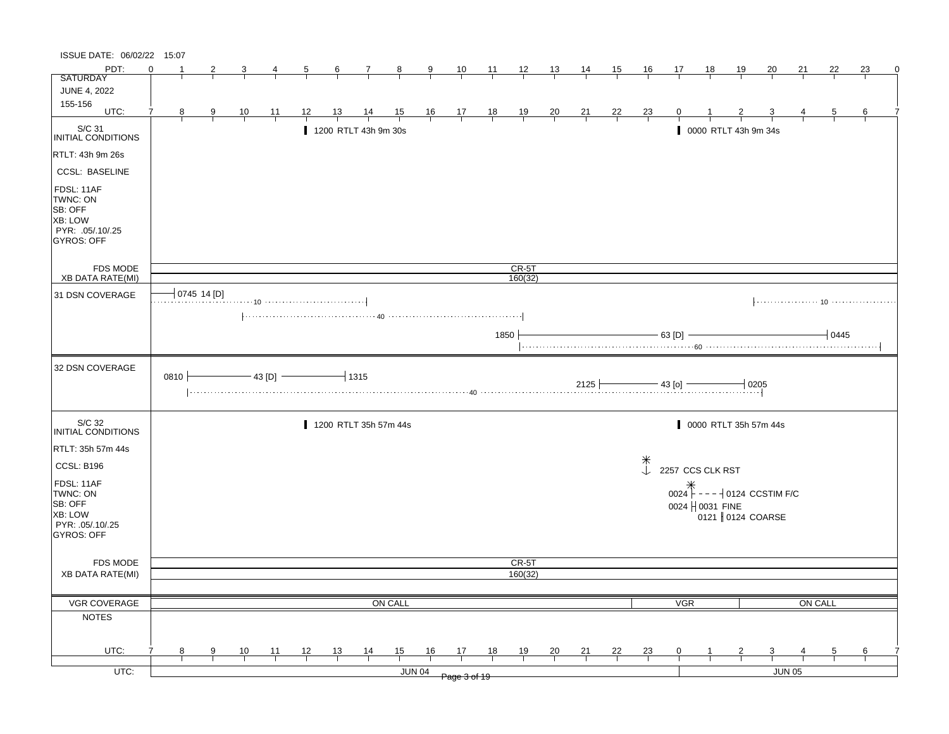| ISSUE DATE: 06/02/22 15:07                                                            |          |          |                         |                |                |           |                  |                                                                                                   |                |                |                                                      |                |                    |                |                |                |                     |                  |                            |                      |                       |                |                |               |
|---------------------------------------------------------------------------------------|----------|----------|-------------------------|----------------|----------------|-----------|------------------|---------------------------------------------------------------------------------------------------|----------------|----------------|------------------------------------------------------|----------------|--------------------|----------------|----------------|----------------|---------------------|------------------|----------------------------|----------------------|-----------------------|----------------|----------------|---------------|
| PDT:                                                                                  | $\Omega$ |          |                         |                |                |           | $6 \overline{6}$ | $\mathcal{I}$                                                                                     | $\frac{8}{1}$  | $\overline{9}$ | $\frac{10}{1}$                                       | $\frac{11}{1}$ | $\frac{12}{ }$     | $\frac{13}{2}$ | <u>14</u>      | <u>15</u>      | <u>16</u>           | 17               | <u>18</u>                  | 19                   | 20                    | 21             | 22             | 23            |
| <b>SATURDAY</b>                                                                       |          |          |                         |                |                |           |                  |                                                                                                   |                |                |                                                      |                |                    |                |                |                |                     |                  |                            |                      |                       |                |                |               |
| <b>JUNE 4, 2022</b>                                                                   |          |          |                         |                |                |           |                  |                                                                                                   |                |                |                                                      |                |                    |                |                |                |                     |                  |                            |                      |                       |                |                |               |
| 155-156<br>UTC:                                                                       | 7        | 8        | $\overline{\mathbf{g}}$ | $\frac{10}{1}$ | <u> 11</u>     | <u>12</u> |                  | $\frac{14}{1}$                                                                                    | $\frac{15}{1}$ |                |                                                      |                | $\frac{19}{1}$     | $\frac{20}{1}$ | $\frac{21}{}$  | $\frac{22}{ }$ | $\frac{23}{1}$      |                  |                            |                      |                       |                | 5              |               |
| $\big _{\mathsf{INITIAL\ COMDITIONS}}$                                                |          |          |                         |                |                |           |                  | 1200 RTLT 43h 9m 30s                                                                              |                |                | $\begin{array}{c c}\n16 & 17 \\ \hline\n\end{array}$ | $\frac{18}{1}$ |                    |                |                |                |                     |                  |                            | 0000 RTLT 43h 9m 34s |                       |                |                |               |
| RTLT: 43h 9m 26s                                                                      |          |          |                         |                |                |           |                  |                                                                                                   |                |                |                                                      |                |                    |                |                |                |                     |                  |                            |                      |                       |                |                |               |
| <b>CCSL: BASELINE</b>                                                                 |          |          |                         |                |                |           |                  |                                                                                                   |                |                |                                                      |                |                    |                |                |                |                     |                  |                            |                      |                       |                |                |               |
| FDSL: 11AF<br>TWNC: ON<br>SB: OFF<br>XB: LOW<br>PYR: .05/.10/.25<br><b>GYROS: OFF</b> |          |          |                         |                |                |           |                  |                                                                                                   |                |                |                                                      |                |                    |                |                |                |                     |                  |                            |                      |                       |                |                |               |
| FDS MODE<br><b>XB DATA RATE(MI)</b>                                                   |          |          |                         |                |                |           |                  |                                                                                                   |                |                |                                                      |                | $CR-5T$<br>160(32) |                |                |                |                     |                  |                            |                      |                       |                |                |               |
|                                                                                       |          |          | 0745 14 [D]             |                |                |           |                  |                                                                                                   |                |                |                                                      |                |                    |                |                |                |                     |                  |                            |                      |                       |                |                |               |
| 31 DSN COVERAGE                                                                       |          |          |                         |                |                |           |                  |                                                                                                   |                |                |                                                      |                |                    |                |                |                |                     |                  |                            |                      |                       |                |                |               |
|                                                                                       |          |          |                         |                |                |           |                  |                                                                                                   |                |                |                                                      | 1850           |                    |                |                |                |                     | 63 [D]           |                            |                      |                       |                | 0445           |               |
| 32 DSN COVERAGE                                                                       |          | $0810 +$ |                         |                | $-43$ [D] $-$  |           |                  | $-$ 1315<br>$\frac{2125}{43.00}$ $\frac{2125}{43.00}$ $\frac{43.00}{43.00}$ $\frac{0.205}{43.00}$ |                |                |                                                      |                |                    |                |                |                |                     |                  |                            |                      |                       |                |                |               |
| S/C 32<br><b>INITIAL CONDITIONS</b>                                                   |          |          |                         |                |                |           |                  | 1200 RTLT 35h 57m 44s                                                                             |                |                |                                                      |                |                    |                |                |                |                     |                  |                            |                      | 0000 RTLT 35h 57m 44s |                |                |               |
| RTLT: 35h 57m 44s                                                                     |          |          |                         |                |                |           |                  |                                                                                                   |                |                |                                                      |                |                    |                |                |                |                     |                  |                            |                      |                       |                |                |               |
| CCSL: B196                                                                            |          |          |                         |                |                |           |                  |                                                                                                   |                |                |                                                      |                |                    |                |                |                | $*$<br>$\downarrow$ | 2257 CCS CLK RST |                            |                      |                       |                |                |               |
| FDSL: 11AF                                                                            |          |          |                         |                |                |           |                  |                                                                                                   |                |                |                                                      |                |                    |                |                |                |                     |                  |                            |                      |                       |                |                |               |
| TWNC: ON                                                                              |          |          |                         |                |                |           |                  |                                                                                                   |                |                |                                                      |                |                    |                |                |                |                     |                  |                            |                      |                       |                |                |               |
| SB: OFF<br>XB: LOW                                                                    |          |          |                         |                |                |           |                  |                                                                                                   |                |                |                                                      |                |                    |                |                |                |                     |                  | 0024 $\parallel$ 0031 FINE |                      |                       |                |                |               |
| PYR: .05/.10/.25                                                                      |          |          |                         |                |                |           |                  |                                                                                                   |                |                |                                                      |                |                    |                |                |                |                     |                  |                            |                      | 0121 0124 COARSE      |                |                |               |
| GYROS: OFF                                                                            |          |          |                         |                |                |           |                  |                                                                                                   |                |                |                                                      |                |                    |                |                |                |                     |                  |                            |                      |                       |                |                |               |
| FDS MODE                                                                              |          |          |                         |                |                |           |                  |                                                                                                   |                |                |                                                      |                | CR-5T              |                |                |                |                     |                  |                            |                      |                       |                |                |               |
| <b>XB DATA RATE(MI)</b>                                                               |          |          |                         |                |                |           |                  |                                                                                                   |                |                |                                                      |                | 160(32)            |                |                |                |                     |                  |                            |                      |                       |                |                |               |
|                                                                                       |          |          |                         |                |                |           |                  |                                                                                                   |                |                |                                                      |                |                    |                |                |                |                     |                  |                            |                      |                       |                |                |               |
| VGR COVERAGE                                                                          |          |          |                         |                |                |           |                  |                                                                                                   | <b>ON CALL</b> |                |                                                      |                |                    |                |                |                |                     | <b>VGR</b>       |                            |                      |                       | <b>ON CALL</b> |                |               |
| <b>NOTES</b>                                                                          |          |          |                         |                |                |           |                  |                                                                                                   |                |                |                                                      |                |                    |                |                |                |                     |                  |                            |                      |                       |                |                |               |
|                                                                                       |          |          |                         |                |                |           |                  |                                                                                                   |                |                |                                                      |                |                    |                |                |                |                     |                  |                            |                      |                       |                |                |               |
| UTC:                                                                                  |          | 8        | 9                       | $\frac{10}{1}$ | $\frac{11}{1}$ | 12        | $\frac{13}{ }$   | $\frac{14}{1}$                                                                                    | 15             | 16             | $\frac{17}{2}$                                       | <u>18</u>      | $\frac{19}{1}$     | $\frac{20}{}$  | $\frac{21}{1}$ | $\frac{22}{1}$ | $\frac{23}{1}$      | $\mathbf{0}$     |                            |                      |                       |                | $\overline{5}$ | $\frac{6}{1}$ |
| $UTC$ :                                                                               |          |          |                         |                |                |           |                  |                                                                                                   |                | <b>JUN 04</b>  | Page 3 of 19                                         |                |                    |                |                |                |                     |                  |                            |                      |                       | JUN 05         |                |               |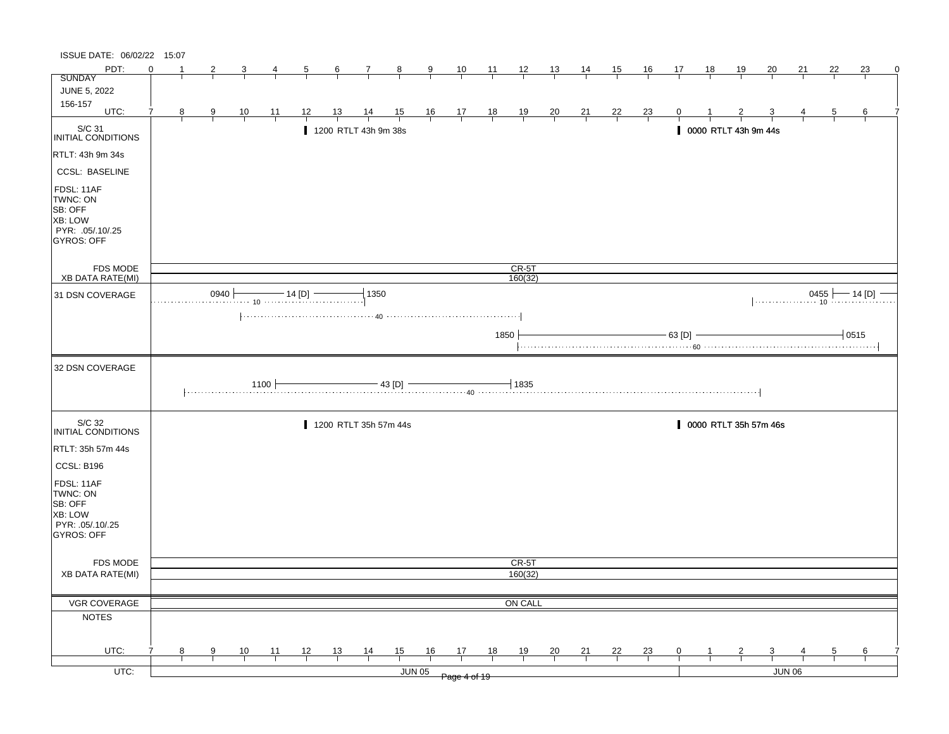| ISSUE DATE: 06/02/22 15:07                                                     |          |   |                |                |                                        |                |                |                                        |                |               |                                                                      |                |                |                |                |                |                |                |                      |              |                         |                   |                |          |   |
|--------------------------------------------------------------------------------|----------|---|----------------|----------------|----------------------------------------|----------------|----------------|----------------------------------------|----------------|---------------|----------------------------------------------------------------------|----------------|----------------|----------------|----------------|----------------|----------------|----------------|----------------------|--------------|-------------------------|-------------------|----------------|----------|---|
| PDT:                                                                           | $\Omega$ |   | 2              |                | 4                                      | $\overline{5}$ | $\frac{6}{ }$  | $\mathcal{I}_{\mathcal{L}}$            | $\frac{8}{1}$  | $\frac{9}{1}$ | $\frac{10}{1}$                                                       | $\frac{11}{1}$ | $\frac{12}{ }$ | $\frac{13}{2}$ | 14             | 15             | $\frac{16}{1}$ | 17             | <u>18</u>            | <u>19</u>    | 20                      | 21                | 22             | 23       | 0 |
| <b>SUNDAY</b>                                                                  |          |   |                |                |                                        |                |                |                                        |                |               |                                                                      |                |                |                |                |                |                |                |                      |              |                         |                   |                |          |   |
| <b>JUNE 5, 2022</b>                                                            |          |   |                |                |                                        |                |                |                                        |                |               |                                                                      |                |                |                |                |                |                |                |                      |              |                         |                   |                |          |   |
| 156-157<br>UTC:                                                                | 7        | 8 | $\overline{9}$ | $\frac{10}{1}$ | $\frac{11}{1}$                         | 12             | $\frac{13}{ }$ | $\frac{14}{1}$                         | $\frac{15}{1}$ |               |                                                                      |                | $\frac{19}{1}$ | $\frac{20}{1}$ | $\frac{21}{1}$ | $\frac{22}{ }$ | $\frac{23}{1}$ |                |                      |              |                         |                   | $\overline{5}$ | 6        |   |
|                                                                                |          |   |                |                |                                        |                |                |                                        |                |               | $\begin{array}{c cc} 16 & 17 & 18 \\ \hline &   &   &   \end{array}$ |                |                |                |                |                |                |                |                      |              |                         |                   |                |          |   |
| S/C 31<br>INITIAL CONDITIONS                                                   |          |   |                |                |                                        |                |                | 1200 RTLT 43h 9m 38s                   |                |               |                                                                      |                |                |                |                |                |                |                | 0000 RTLT 43h 9m 44s |              |                         |                   |                |          |   |
| RTLT: 43h 9m 34s                                                               |          |   |                |                |                                        |                |                |                                        |                |               |                                                                      |                |                |                |                |                |                |                |                      |              |                         |                   |                |          |   |
| <b>CCSL: BASELINE</b>                                                          |          |   |                |                |                                        |                |                |                                        |                |               |                                                                      |                |                |                |                |                |                |                |                      |              |                         |                   |                |          |   |
| FDSL: 11AF<br>TWNC: ON<br>SB: OFF<br>XB: LOW<br>PYR: .05/.10/.25<br>GYROS: OFF |          |   |                |                |                                        |                |                |                                        |                |               |                                                                      |                |                |                |                |                |                |                |                      |              |                         |                   |                |          |   |
| FDS MODE                                                                       |          |   |                |                |                                        |                |                |                                        |                |               |                                                                      |                | $CR-5T$        |                |                |                |                |                |                      |              |                         |                   |                |          |   |
| XB DATA RATE(MI)                                                               |          |   |                |                |                                        |                |                |                                        |                |               |                                                                      |                | 160(32)        |                |                |                |                |                |                      |              |                         |                   |                |          |   |
| 31 DSN COVERAGE                                                                |          |   | 0940           |                | $\cdots$ 10 $\cdots$ $\cdots$ $\cdots$ | $-$ 14 [D] $-$ |                | 1350                                   |                |               |                                                                      |                |                |                |                |                |                |                |                      |              |                         | $0455$ $- 14$ [D] |                | — 14 [D] |   |
|                                                                                |          |   |                |                |                                        |                |                |                                        |                |               |                                                                      |                |                |                |                |                |                |                |                      |              |                         |                   |                |          |   |
|                                                                                |          |   |                |                |                                        |                |                |                                        |                |               |                                                                      | 1850           |                |                |                |                |                | $-63$ [D]      |                      |              |                         |                   |                | $+0515$  |   |
| 32 DSN COVERAGE                                                                |          |   |                |                |                                        |                |                |                                        |                |               |                                                                      |                |                |                |                |                |                |                |                      |              |                         |                   |                |          |   |
|                                                                                |          |   |                |                | 1100 F                                 |                |                | $\frac{1}{43}$ [D] $\frac{1}{40}$ 1835 |                |               |                                                                      |                |                |                |                |                |                |                |                      |              |                         |                   |                |          |   |
| S/C 32<br>INITIAL CONDITIONS                                                   |          |   |                |                |                                        |                |                | 1200 RTLT 35h 57m 44s                  |                |               |                                                                      |                |                |                |                |                |                |                |                      |              | 0000 RTLT 35h 57m 46s   |                   |                |          |   |
| RTLT: 35h 57m 44s                                                              |          |   |                |                |                                        |                |                |                                        |                |               |                                                                      |                |                |                |                |                |                |                |                      |              |                         |                   |                |          |   |
| CCSL: B196                                                                     |          |   |                |                |                                        |                |                |                                        |                |               |                                                                      |                |                |                |                |                |                |                |                      |              |                         |                   |                |          |   |
| FDSL: 11AF<br>TWNC: ON<br>SB: OFF<br>XB: LOW                                   |          |   |                |                |                                        |                |                |                                        |                |               |                                                                      |                |                |                |                |                |                |                |                      |              |                         |                   |                |          |   |
| PYR: 05/10/25<br>GYROS: OFF                                                    |          |   |                |                |                                        |                |                |                                        |                |               |                                                                      |                |                |                |                |                |                |                |                      |              |                         |                   |                |          |   |
| FDS MODE                                                                       |          |   |                |                |                                        |                |                |                                        |                |               |                                                                      |                | CR-5T          |                |                |                |                |                |                      |              |                         |                   |                |          |   |
| <b>XB DATA RATE(MI)</b>                                                        |          |   |                |                |                                        |                |                |                                        |                |               |                                                                      |                | 160(32)        |                |                |                |                |                |                      |              |                         |                   |                |          |   |
|                                                                                |          |   |                |                |                                        |                |                |                                        |                |               |                                                                      |                |                |                |                |                |                |                |                      |              |                         |                   |                |          |   |
| VGR COVERAGE                                                                   |          |   |                |                |                                        |                |                |                                        |                |               |                                                                      |                | ON CALL        |                |                |                |                |                |                      |              |                         |                   |                |          |   |
| <b>NOTES</b>                                                                   |          |   |                |                |                                        |                |                |                                        |                |               |                                                                      |                |                |                |                |                |                |                |                      |              |                         |                   |                |          |   |
|                                                                                |          |   |                |                |                                        |                |                |                                        |                |               |                                                                      |                |                |                |                |                |                |                |                      |              |                         |                   |                |          |   |
| UTC:                                                                           |          | 8 | 9 <sub>o</sub> | $\frac{10}{1}$ | $\frac{11}{1}$                         | $\frac{12}{ }$ | $\frac{13}{ }$ | $\frac{14}{1}$                         | $\frac{15}{1}$ | 16            | $\frac{17}{1}$                                                       | 18             | $\frac{19}{1}$ | $\frac{20}{1}$ | $\frac{21}{1}$ | $\frac{22}{1}$ | $\frac{23}{1}$ | $\overline{0}$ |                      | $\mathbf{Z}$ | $\overline{\mathbf{3}}$ |                   | $\overline{5}$ | 6        |   |
| $UTC$ :                                                                        |          |   |                |                |                                        |                |                |                                        |                | JUN 05        |                                                                      |                |                |                |                |                |                |                |                      |              |                         | <b>JUN 06</b>     |                |          |   |
|                                                                                |          |   |                |                |                                        |                |                |                                        |                |               | Page 4 of 19                                                         |                |                |                |                |                |                |                |                      |              |                         |                   |                |          |   |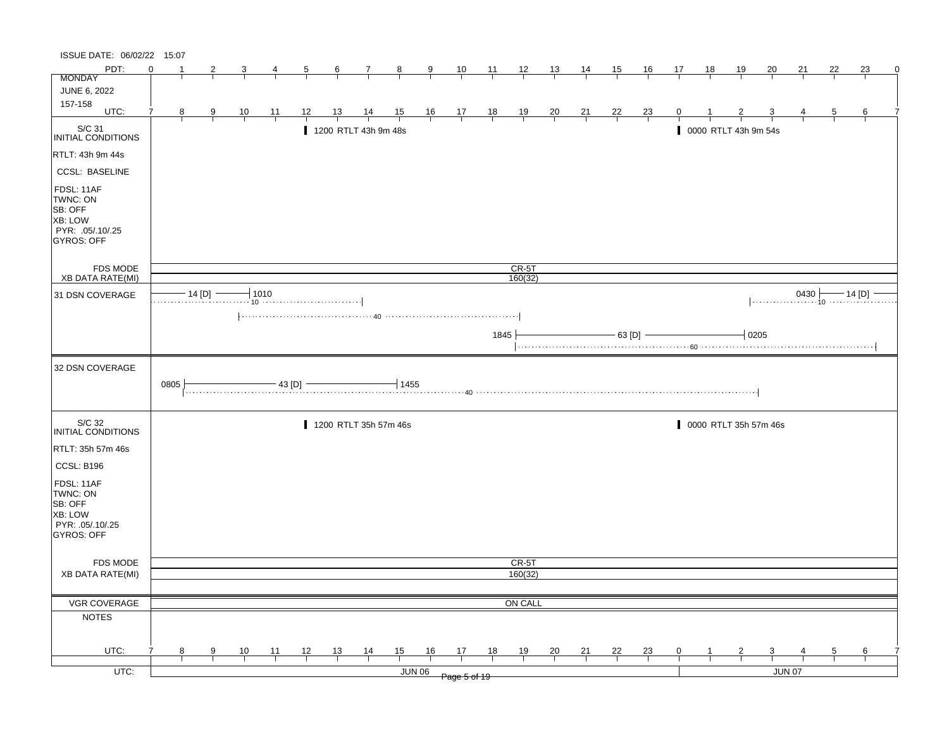| ISSUE DATE: 06/02/22 15:07                                                                   |          |   |                |                |                |                |                |                       |                |               |                                                              |                |                |                |                |                |                |                |                      |                |                       |               |              |                       |   |
|----------------------------------------------------------------------------------------------|----------|---|----------------|----------------|----------------|----------------|----------------|-----------------------|----------------|---------------|--------------------------------------------------------------|----------------|----------------|----------------|----------------|----------------|----------------|----------------|----------------------|----------------|-----------------------|---------------|--------------|-----------------------|---|
| PDT:                                                                                         | $\Omega$ |   | 2              |                |                | $\overline{5}$ | $\frac{6}{ }$  | $\mathcal{I}$         | $\frac{8}{ }$  | $\frac{9}{2}$ | $\frac{10}{1}$                                               | $\frac{11}{1}$ | $\frac{12}{ }$ | $\frac{13}{2}$ | $\frac{14}{1}$ | 15             | $\frac{16}{1}$ | 17             | 18                   | $\frac{19}{1}$ | 20                    | 21            | 22           | 23                    | 0 |
| <b>MONDAY</b>                                                                                |          |   |                |                |                |                |                |                       |                |               |                                                              |                |                |                |                |                |                |                |                      |                |                       |               |              |                       |   |
| JUNE 6, 2022                                                                                 |          |   |                |                |                |                |                |                       |                |               |                                                              |                |                |                |                |                |                |                |                      |                |                       |               |              |                       |   |
| 157-158<br>UTC:                                                                              |          | 8 | $\overline{9}$ | $\frac{10}{1}$ | $\frac{11}{1}$ | <u>12</u>      | <u>13</u>      | $\frac{14}{1}$        | $\frac{15}{1}$ |               | $\begin{array}{cccccc}\n16 & 17 & 18 \\ \hline\n\end{array}$ |                | $\frac{19}{1}$ | $\frac{20}{1}$ | $\frac{21}{1}$ | $\frac{22}{1}$ | $\frac{23}{}$  |                |                      |                |                       |               | <sub>5</sub> | 6                     |   |
| S/C 31<br>INITIAL CONDITIONS                                                                 |          |   |                |                |                |                |                | 1200 RTLT 43h 9m 48s  |                |               |                                                              |                |                |                |                |                |                |                | 0000 RTLT 43h 9m 54s |                |                       |               |              |                       |   |
| RTLT: 43h 9m 44s                                                                             |          |   |                |                |                |                |                |                       |                |               |                                                              |                |                |                |                |                |                |                |                      |                |                       |               |              |                       |   |
| <b>CCSL: BASELINE</b>                                                                        |          |   |                |                |                |                |                |                       |                |               |                                                              |                |                |                |                |                |                |                |                      |                |                       |               |              |                       |   |
| FDSL: 11AF<br>TWNC: ON<br>SB: OFF<br><b>XB: LOW</b><br>PYR: .05/.10/.25<br><b>GYROS: OFF</b> |          |   |                |                |                |                |                |                       |                |               |                                                              |                |                |                |                |                |                |                |                      |                |                       |               |              |                       |   |
| <b>FDS MODE</b>                                                                              |          |   |                |                |                |                |                |                       |                |               |                                                              |                | $CR-5T$        |                |                |                |                |                |                      |                |                       |               |              |                       |   |
| <b>XB DATA RATE(MI)</b>                                                                      |          |   |                |                |                |                |                |                       |                |               |                                                              |                | 160(32)        |                |                |                |                |                |                      |                |                       |               |              |                       |   |
| 31 DSN COVERAGE                                                                              |          |   | $-14$ [D] $-$  |                | $+1010$        |                |                |                       |                |               |                                                              |                |                |                |                |                |                |                |                      |                |                       |               |              | $0430$ $- 14$ [D] $-$ |   |
|                                                                                              |          |   |                |                |                |                |                |                       |                |               |                                                              | 1845           |                |                |                |                | $-$ 63 [D] $-$ |                |                      | $-10205$       |                       |               |              |                       |   |
| 32 DSN COVERAGE                                                                              | 0805     |   |                |                | $-43$ [D] $-$  |                |                |                       | 1455           |               |                                                              |                |                |                |                |                |                |                |                      |                |                       |               |              |                       |   |
| S/C 32<br>INITIAL CONDITIONS                                                                 |          |   |                |                |                |                |                | 1200 RTLT 35h 57m 46s |                |               |                                                              |                |                |                |                |                |                |                |                      |                | 0000 RTLT 35h 57m 46s |               |              |                       |   |
| RTLT: 35h 57m 46s                                                                            |          |   |                |                |                |                |                |                       |                |               |                                                              |                |                |                |                |                |                |                |                      |                |                       |               |              |                       |   |
| CCSL: B196                                                                                   |          |   |                |                |                |                |                |                       |                |               |                                                              |                |                |                |                |                |                |                |                      |                |                       |               |              |                       |   |
| FDSL: 11AF<br>TWNC: ON<br>SB: OFF<br><b>XB: LOW</b><br>PYR: .05/.10/.25<br>GYROS: OFF        |          |   |                |                |                |                |                |                       |                |               |                                                              |                |                |                |                |                |                |                |                      |                |                       |               |              |                       |   |
| FDS MODE                                                                                     |          |   |                |                |                |                |                |                       |                |               |                                                              |                | CR-5T          |                |                |                |                |                |                      |                |                       |               |              |                       |   |
| <b>XB DATA RATE(MI)</b>                                                                      |          |   |                |                |                |                |                |                       |                |               |                                                              |                | 160(32)        |                |                |                |                |                |                      |                |                       |               |              |                       |   |
|                                                                                              |          |   |                |                |                |                |                |                       |                |               |                                                              |                |                |                |                |                |                |                |                      |                |                       |               |              |                       |   |
| VGR COVERAGE                                                                                 |          |   |                |                |                |                |                |                       |                |               |                                                              |                | ON CALL        |                |                |                |                |                |                      |                |                       |               |              |                       |   |
| <b>NOTES</b>                                                                                 |          |   |                |                |                |                |                |                       |                |               |                                                              |                |                |                |                |                |                |                |                      |                |                       |               |              |                       |   |
| UTC:                                                                                         |          | 8 | 9              | $\frac{10}{1}$ | $\frac{11}{1}$ | $\frac{12}{1}$ | $\frac{13}{ }$ | $\frac{14}{1}$        | $\frac{15}{1}$ | 16            | 17                                                           | 18             | 19             | $\frac{20}{1}$ | $\frac{21}{1}$ | $\frac{22}{ }$ | $\frac{23}{1}$ | $\overline{0}$ |                      | $\overline{z}$ | 3                     |               | 5            | 6                     |   |
| $UTC$ :                                                                                      |          |   |                |                |                |                |                |                       |                | <b>JUN 06</b> |                                                              |                |                |                |                |                |                |                |                      |                |                       | <b>JUN 07</b> |              |                       |   |
|                                                                                              |          |   |                |                |                |                |                |                       |                |               | Page 5 of 19                                                 |                |                |                |                |                |                |                |                      |                |                       |               |              |                       |   |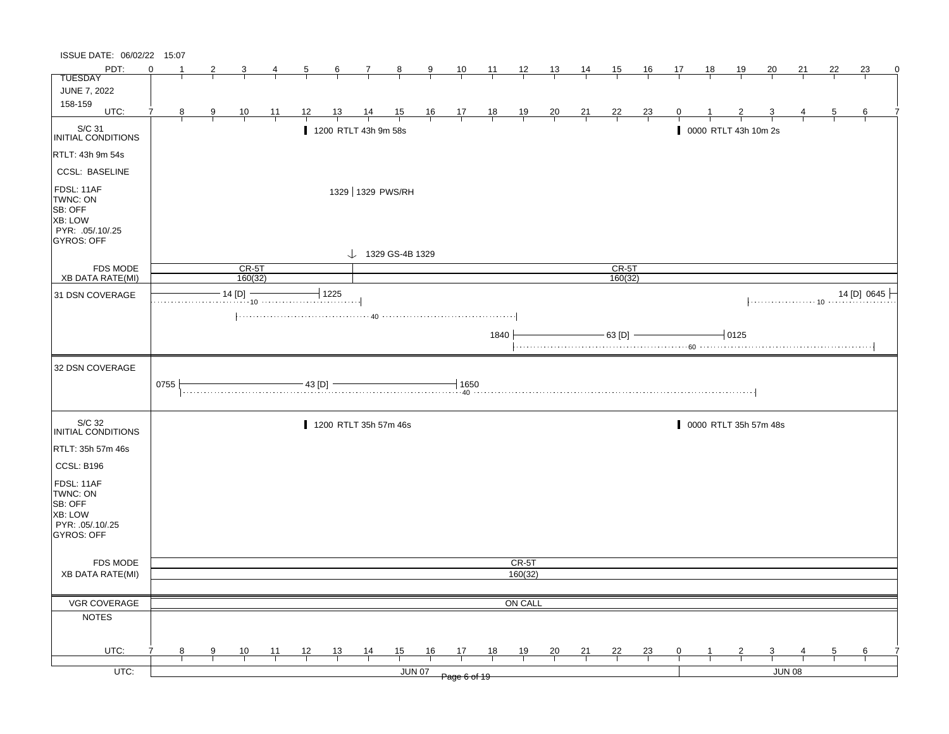| ISSUE DATE: 06/02/22 15:07                                                                   |          |   |   |                    |                |    |                  |                              |        |               |                         |                |                |                |                |                    |                |              |           |                       |    |        |                |             |   |
|----------------------------------------------------------------------------------------------|----------|---|---|--------------------|----------------|----|------------------|------------------------------|--------|---------------|-------------------------|----------------|----------------|----------------|----------------|--------------------|----------------|--------------|-----------|-----------------------|----|--------|----------------|-------------|---|
| PDT:                                                                                         | $\Omega$ |   | 2 | 3                  | 4              | 5  | $6 \overline{6}$ | $\mathbf{7}$                 | $_{8}$ | $\frac{9}{2}$ | $\frac{10}{1}$          | $\frac{11}{1}$ | $\frac{12}{1}$ | $\frac{13}{2}$ | $\frac{14}{1}$ | 15                 | 16             | 17           | <u>18</u> | <u>19</u>             | 20 | 21     | 22             | 23          | 0 |
| <b>TUESDAY</b>                                                                               |          |   |   |                    |                |    |                  |                              |        |               |                         |                |                |                |                |                    |                |              |           |                       |    |        |                |             |   |
| <b>JUNE 7, 2022</b>                                                                          |          |   |   |                    |                |    |                  |                              |        |               |                         |                |                |                |                |                    |                |              |           |                       |    |        |                |             |   |
| 158-159<br>UTC:                                                                              | 7        |   |   |                    |                |    |                  |                              |        |               |                         |                |                |                |                |                    |                |              |           |                       |    |        |                |             |   |
|                                                                                              |          | 8 | 9 | $\frac{10}{1}$     | $\frac{11}{1}$ | 12 | <u>13</u>        | $\frac{14}{1}$               |        |               | $\frac{15}{1}$ 16 17 18 |                | $\frac{19}{1}$ | $\frac{20}{1}$ | $\frac{21}{1}$ | $\frac{22}{1}$     | $\frac{23}{1}$ | $\mathbf{0}$ |           |                       |    |        | $\overline{5}$ | 6           |   |
| S/C 31<br>INITIAL CONDITIONS                                                                 |          |   |   |                    |                |    |                  | 1200 RTLT 43h 9m 58s         |        |               |                         |                |                |                |                |                    |                |              |           | 0000 RTLT 43h 10m 2s  |    |        |                |             |   |
| RTLT: 43h 9m 54s                                                                             |          |   |   |                    |                |    |                  |                              |        |               |                         |                |                |                |                |                    |                |              |           |                       |    |        |                |             |   |
| <b>CCSL: BASELINE</b>                                                                        |          |   |   |                    |                |    |                  |                              |        |               |                         |                |                |                |                |                    |                |              |           |                       |    |        |                |             |   |
| FDSL: 11AF<br>TWNC: ON<br>SB: OFF<br><b>XB: LOW</b><br>PYR: .05/.10/.25<br><b>GYROS: OFF</b> |          |   |   |                    |                |    |                  | 1329 1329 PWS/RH             |        |               |                         |                |                |                |                |                    |                |              |           |                       |    |        |                |             |   |
|                                                                                              |          |   |   |                    |                |    |                  | $\downarrow$ 1329 GS-4B 1329 |        |               |                         |                |                |                |                |                    |                |              |           |                       |    |        |                |             |   |
| <b>FDS MODE</b><br><b>XB DATA RATE(MI)</b>                                                   |          |   |   | $CR-5T$<br>160(32) |                |    |                  |                              |        |               |                         |                |                |                |                | $CR-5T$<br>160(32) |                |              |           |                       |    |        |                |             |   |
| 31 DSN COVERAGE                                                                              |          |   |   | $-14$ [D] $-$      |                |    | $-1225$          |                              |        |               |                         |                |                |                |                |                    |                |              |           |                       |    |        |                | 14 [D] 0645 |   |
|                                                                                              |          |   |   |                    |                |    |                  |                              |        |               |                         |                |                |                |                |                    |                |              |           |                       |    |        |                |             |   |
|                                                                                              |          |   |   |                    |                |    |                  |                              |        |               |                         |                |                |                |                |                    |                |              |           |                       |    |        |                |             |   |
|                                                                                              |          |   |   |                    |                |    |                  |                              |        |               |                         | 1840           |                |                |                |                    | $-63$ [D] $-$  |              |           | $-10125$              |    |        |                |             |   |
|                                                                                              |          |   |   |                    |                |    |                  |                              |        |               |                         |                |                |                |                |                    |                |              |           |                       |    |        |                |             |   |
| 32 DSN COVERAGE                                                                              |          |   |   |                    |                |    |                  |                              |        |               |                         |                |                |                |                |                    |                |              |           |                       |    |        |                |             |   |
|                                                                                              | 0755     |   |   |                    |                |    |                  |                              |        |               |                         |                |                |                |                |                    |                |              |           |                       |    |        |                |             |   |
| S/C 32<br>INITIAL CONDITIONS                                                                 |          |   |   |                    |                |    |                  | 1200 RTLT 35h 57m 46s        |        |               |                         |                |                |                |                |                    |                |              |           | 0000 RTLT 35h 57m 48s |    |        |                |             |   |
| RTLT: 35h 57m 46s                                                                            |          |   |   |                    |                |    |                  |                              |        |               |                         |                |                |                |                |                    |                |              |           |                       |    |        |                |             |   |
| CCSL: B196                                                                                   |          |   |   |                    |                |    |                  |                              |        |               |                         |                |                |                |                |                    |                |              |           |                       |    |        |                |             |   |
|                                                                                              |          |   |   |                    |                |    |                  |                              |        |               |                         |                |                |                |                |                    |                |              |           |                       |    |        |                |             |   |
| FDSL: 11AF<br>TWNC: ON                                                                       |          |   |   |                    |                |    |                  |                              |        |               |                         |                |                |                |                |                    |                |              |           |                       |    |        |                |             |   |
| SB: OFF                                                                                      |          |   |   |                    |                |    |                  |                              |        |               |                         |                |                |                |                |                    |                |              |           |                       |    |        |                |             |   |
| XB: LOW                                                                                      |          |   |   |                    |                |    |                  |                              |        |               |                         |                |                |                |                |                    |                |              |           |                       |    |        |                |             |   |
| PYR: 05/10/25                                                                                |          |   |   |                    |                |    |                  |                              |        |               |                         |                |                |                |                |                    |                |              |           |                       |    |        |                |             |   |
| GYROS: OFF                                                                                   |          |   |   |                    |                |    |                  |                              |        |               |                         |                |                |                |                |                    |                |              |           |                       |    |        |                |             |   |
| <b>FDS MODE</b>                                                                              |          |   |   |                    |                |    |                  |                              |        |               |                         |                | CR-5T          |                |                |                    |                |              |           |                       |    |        |                |             |   |
| <b>XB DATA RATE(MI)</b>                                                                      |          |   |   |                    |                |    |                  |                              |        |               |                         |                | 160(32)        |                |                |                    |                |              |           |                       |    |        |                |             |   |
|                                                                                              |          |   |   |                    |                |    |                  |                              |        |               |                         |                |                |                |                |                    |                |              |           |                       |    |        |                |             |   |
| VGR COVERAGE                                                                                 |          |   |   |                    |                |    |                  |                              |        |               |                         |                | ON CALL        |                |                |                    |                |              |           |                       |    |        |                |             |   |
| <b>NOTES</b>                                                                                 |          |   |   |                    |                |    |                  |                              |        |               |                         |                |                |                |                |                    |                |              |           |                       |    |        |                |             |   |
|                                                                                              |          |   |   |                    |                |    |                  |                              |        |               |                         |                |                |                |                |                    |                |              |           |                       |    |        |                |             |   |
| UTC:                                                                                         |          | 8 | 9 | 10                 | 11             | 12 | 13               |                              | 15     | 16            | 17                      | 18             | 19             | 20             | 21             | 22                 | 23             | 0            |           | $\overline{2}$        | 3  |        | 5              | 6           |   |
|                                                                                              |          |   |   |                    |                |    |                  | $\frac{14}{1}$               |        |               |                         |                |                |                |                |                    |                |              |           |                       |    |        |                |             |   |
| $UTC$ :                                                                                      |          |   |   |                    |                |    |                  |                              |        | JUN 07        | Page 6 of 19            |                |                |                |                |                    |                |              |           |                       |    | JUN 08 |                |             |   |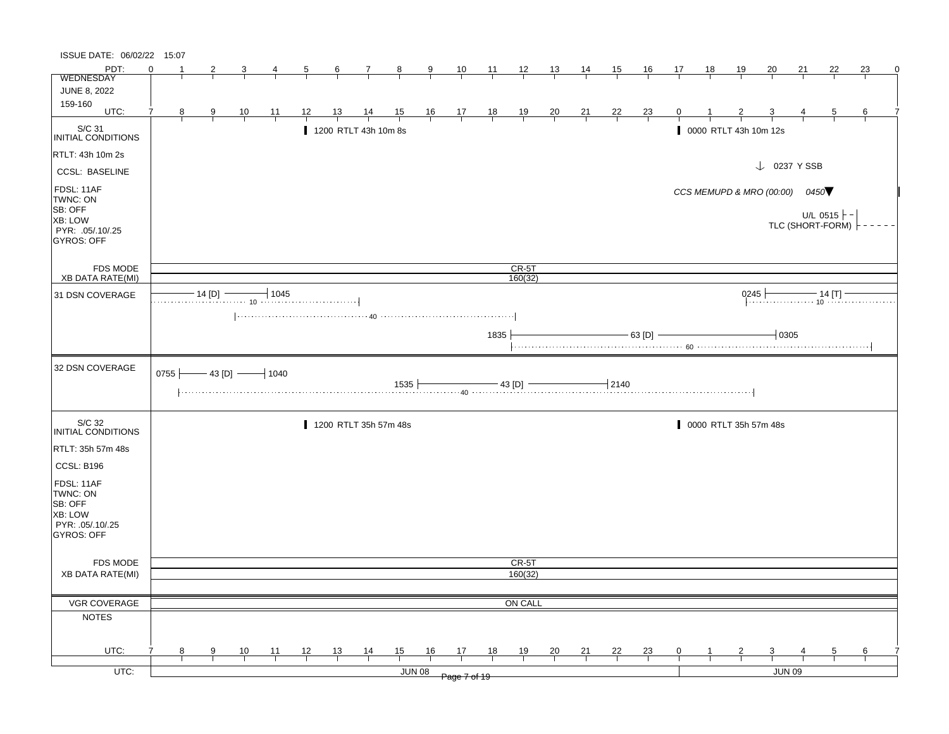| PDT:<br>$\Omega$<br>$\frac{10}{1}$ $\frac{11}{1}$ $\frac{12}{1}$ $\frac{13}{1}$<br>$\frac{15}{1}$<br>$\frac{16}{1}$<br><u>19</u><br>20<br>22<br>23<br>$\overline{2}$<br>$\frac{6}{ }$<br>$\overline{7}$<br>$\frac{9}{x}$<br>$\frac{14}{ }$<br><u>17</u><br>$\frac{18}{1}$<br><u>21</u><br>3<br>$\frac{5}{}$<br>$\frac{8}{ }$<br>$\overline{4}$<br>WEDNESDAY<br><b>JUNE 8, 2022</b><br>159-160<br>UTC:<br>$\overline{7}$<br>$14$ 15<br>8<br>12<br>13<br>$\frac{16}{\sqrt{21}}$ $\frac{17}{\sqrt{21}}$ $\frac{18}{\sqrt{21}}$<br>$\frac{19}{1}$<br>$\frac{20}{1}$<br>$\frac{21}{1}$<br>$^{22}$<br>$\frac{23}{1}$<br>$\frac{9}{ }$<br>$\frac{10}{1}$<br>$-11$<br>$\overline{0}$<br>$\frac{3}{ }$<br>$\frac{5}{}$<br>6<br>$\frac{2}{ }$<br>4<br>S/C 31<br>INITIAL CONDITIONS<br>1200 RTLT 43h 10m 8s<br>0000 RTLT 43h 10m 12s<br>$\downarrow$ 0237 Y SSB<br><b>CCSL: BASELINE</b><br>FDSL: 11AF<br>CCS MEMUPD & MRO (00:00)<br>0450<br>TWNC: ON<br>SB: OFF<br>U/L 0515 $\vdash$ -<br>XB: LOW<br>TLC (SHORT-FORM)<br>PYR: .05/.10/.25<br><b>GYROS: OFF</b><br><b>FDS MODE</b><br>$CR-5T$<br>160(32)<br><b>XB DATA RATE(MI)</b><br>$-14$ [D] $-$<br>14 [D] $\longrightarrow$ 1045<br>0245<br>0245 $\longleftarrow$ 14 [T] $\overbrace{10}$ $\overbrace{10}$ $\overbrace{10}$ $\overbrace{10}$ $\overbrace{10}$ $\overbrace{10}$ $\overbrace{10}$ $\overbrace{10}$ $\overbrace{10}$ $\overbrace{10}$ $\overbrace{10}$ $\overbrace{10}$ $\overbrace{10}$ $\overbrace{10}$ $\overbrace{10}$ $\overbrace{10}$ $\overbrace{10}$ $\overbrace{10}$ $\overbrace{10}$ $\overbrace{10}$ $\$<br>31 DSN COVERAGE<br>1835<br>- 63 [D] -<br>$\overline{\phantom{0}}$ 0305<br>32 DSN COVERAGE<br>0755 $-43$ [D] $-1040$<br>$-$ 2140<br>S/C 32<br>0000 RTLT 35h 57m 48s<br>1200 RTLT 35h 57m 48s<br>INITIAL CONDITIONS<br>RTLT: 35h 57m 48s<br>CCSL: B196<br>FDSL: 11AF<br>TWNC: ON<br>SB: OFF<br>XB: LOW<br>PYR: .05/.10/.25<br><b>GYROS: OFF</b><br>CR-5T<br><b>FDS MODE</b><br>160(32)<br><b>XB DATA RATE(MI)</b><br>VGR COVERAGE<br>ON CALL<br><b>NOTES</b><br>UTC:<br>15<br>12<br>13<br>$\frac{14}{1}$<br>16<br>17<br>18<br>$\frac{20}{}$<br>$\frac{21}{1}$<br>$^{22}$<br><u>23</u><br>9<br><u>10</u><br>11<br>19<br>$\mathbf{0}$<br>$\overline{3}$<br>8<br>5<br>6<br><b>JUN 08</b><br><b>JUN 09</b><br>Page 7 of 19 | ISSUE DATE: 06/02/22 15:07 |  |  |  |  |  |  |  |  |  |  |  |  |   |
|-----------------------------------------------------------------------------------------------------------------------------------------------------------------------------------------------------------------------------------------------------------------------------------------------------------------------------------------------------------------------------------------------------------------------------------------------------------------------------------------------------------------------------------------------------------------------------------------------------------------------------------------------------------------------------------------------------------------------------------------------------------------------------------------------------------------------------------------------------------------------------------------------------------------------------------------------------------------------------------------------------------------------------------------------------------------------------------------------------------------------------------------------------------------------------------------------------------------------------------------------------------------------------------------------------------------------------------------------------------------------------------------------------------------------------------------------------------------------------------------------------------------------------------------------------------------------------------------------------------------------------------------------------------------------------------------------------------------------------------------------------------------------------------------------------------------------------------------------------------------------------------------------------------------------------------------------------------------------------------------------------------------------------------------------------------------------------------------------------------------------------------------------------------------------------------------------------------------------------------------------------------------------------------------------------|----------------------------|--|--|--|--|--|--|--|--|--|--|--|--|---|
|                                                                                                                                                                                                                                                                                                                                                                                                                                                                                                                                                                                                                                                                                                                                                                                                                                                                                                                                                                                                                                                                                                                                                                                                                                                                                                                                                                                                                                                                                                                                                                                                                                                                                                                                                                                                                                                                                                                                                                                                                                                                                                                                                                                                                                                                                                     |                            |  |  |  |  |  |  |  |  |  |  |  |  | 0 |
|                                                                                                                                                                                                                                                                                                                                                                                                                                                                                                                                                                                                                                                                                                                                                                                                                                                                                                                                                                                                                                                                                                                                                                                                                                                                                                                                                                                                                                                                                                                                                                                                                                                                                                                                                                                                                                                                                                                                                                                                                                                                                                                                                                                                                                                                                                     |                            |  |  |  |  |  |  |  |  |  |  |  |  |   |
|                                                                                                                                                                                                                                                                                                                                                                                                                                                                                                                                                                                                                                                                                                                                                                                                                                                                                                                                                                                                                                                                                                                                                                                                                                                                                                                                                                                                                                                                                                                                                                                                                                                                                                                                                                                                                                                                                                                                                                                                                                                                                                                                                                                                                                                                                                     |                            |  |  |  |  |  |  |  |  |  |  |  |  |   |
|                                                                                                                                                                                                                                                                                                                                                                                                                                                                                                                                                                                                                                                                                                                                                                                                                                                                                                                                                                                                                                                                                                                                                                                                                                                                                                                                                                                                                                                                                                                                                                                                                                                                                                                                                                                                                                                                                                                                                                                                                                                                                                                                                                                                                                                                                                     |                            |  |  |  |  |  |  |  |  |  |  |  |  |   |
|                                                                                                                                                                                                                                                                                                                                                                                                                                                                                                                                                                                                                                                                                                                                                                                                                                                                                                                                                                                                                                                                                                                                                                                                                                                                                                                                                                                                                                                                                                                                                                                                                                                                                                                                                                                                                                                                                                                                                                                                                                                                                                                                                                                                                                                                                                     |                            |  |  |  |  |  |  |  |  |  |  |  |  |   |
|                                                                                                                                                                                                                                                                                                                                                                                                                                                                                                                                                                                                                                                                                                                                                                                                                                                                                                                                                                                                                                                                                                                                                                                                                                                                                                                                                                                                                                                                                                                                                                                                                                                                                                                                                                                                                                                                                                                                                                                                                                                                                                                                                                                                                                                                                                     | RTLT: 43h 10m 2s           |  |  |  |  |  |  |  |  |  |  |  |  |   |
|                                                                                                                                                                                                                                                                                                                                                                                                                                                                                                                                                                                                                                                                                                                                                                                                                                                                                                                                                                                                                                                                                                                                                                                                                                                                                                                                                                                                                                                                                                                                                                                                                                                                                                                                                                                                                                                                                                                                                                                                                                                                                                                                                                                                                                                                                                     |                            |  |  |  |  |  |  |  |  |  |  |  |  |   |
|                                                                                                                                                                                                                                                                                                                                                                                                                                                                                                                                                                                                                                                                                                                                                                                                                                                                                                                                                                                                                                                                                                                                                                                                                                                                                                                                                                                                                                                                                                                                                                                                                                                                                                                                                                                                                                                                                                                                                                                                                                                                                                                                                                                                                                                                                                     |                            |  |  |  |  |  |  |  |  |  |  |  |  |   |
|                                                                                                                                                                                                                                                                                                                                                                                                                                                                                                                                                                                                                                                                                                                                                                                                                                                                                                                                                                                                                                                                                                                                                                                                                                                                                                                                                                                                                                                                                                                                                                                                                                                                                                                                                                                                                                                                                                                                                                                                                                                                                                                                                                                                                                                                                                     |                            |  |  |  |  |  |  |  |  |  |  |  |  |   |
|                                                                                                                                                                                                                                                                                                                                                                                                                                                                                                                                                                                                                                                                                                                                                                                                                                                                                                                                                                                                                                                                                                                                                                                                                                                                                                                                                                                                                                                                                                                                                                                                                                                                                                                                                                                                                                                                                                                                                                                                                                                                                                                                                                                                                                                                                                     |                            |  |  |  |  |  |  |  |  |  |  |  |  |   |
|                                                                                                                                                                                                                                                                                                                                                                                                                                                                                                                                                                                                                                                                                                                                                                                                                                                                                                                                                                                                                                                                                                                                                                                                                                                                                                                                                                                                                                                                                                                                                                                                                                                                                                                                                                                                                                                                                                                                                                                                                                                                                                                                                                                                                                                                                                     |                            |  |  |  |  |  |  |  |  |  |  |  |  |   |
|                                                                                                                                                                                                                                                                                                                                                                                                                                                                                                                                                                                                                                                                                                                                                                                                                                                                                                                                                                                                                                                                                                                                                                                                                                                                                                                                                                                                                                                                                                                                                                                                                                                                                                                                                                                                                                                                                                                                                                                                                                                                                                                                                                                                                                                                                                     |                            |  |  |  |  |  |  |  |  |  |  |  |  |   |
|                                                                                                                                                                                                                                                                                                                                                                                                                                                                                                                                                                                                                                                                                                                                                                                                                                                                                                                                                                                                                                                                                                                                                                                                                                                                                                                                                                                                                                                                                                                                                                                                                                                                                                                                                                                                                                                                                                                                                                                                                                                                                                                                                                                                                                                                                                     |                            |  |  |  |  |  |  |  |  |  |  |  |  |   |
|                                                                                                                                                                                                                                                                                                                                                                                                                                                                                                                                                                                                                                                                                                                                                                                                                                                                                                                                                                                                                                                                                                                                                                                                                                                                                                                                                                                                                                                                                                                                                                                                                                                                                                                                                                                                                                                                                                                                                                                                                                                                                                                                                                                                                                                                                                     |                            |  |  |  |  |  |  |  |  |  |  |  |  |   |
|                                                                                                                                                                                                                                                                                                                                                                                                                                                                                                                                                                                                                                                                                                                                                                                                                                                                                                                                                                                                                                                                                                                                                                                                                                                                                                                                                                                                                                                                                                                                                                                                                                                                                                                                                                                                                                                                                                                                                                                                                                                                                                                                                                                                                                                                                                     |                            |  |  |  |  |  |  |  |  |  |  |  |  |   |
|                                                                                                                                                                                                                                                                                                                                                                                                                                                                                                                                                                                                                                                                                                                                                                                                                                                                                                                                                                                                                                                                                                                                                                                                                                                                                                                                                                                                                                                                                                                                                                                                                                                                                                                                                                                                                                                                                                                                                                                                                                                                                                                                                                                                                                                                                                     |                            |  |  |  |  |  |  |  |  |  |  |  |  |   |
|                                                                                                                                                                                                                                                                                                                                                                                                                                                                                                                                                                                                                                                                                                                                                                                                                                                                                                                                                                                                                                                                                                                                                                                                                                                                                                                                                                                                                                                                                                                                                                                                                                                                                                                                                                                                                                                                                                                                                                                                                                                                                                                                                                                                                                                                                                     |                            |  |  |  |  |  |  |  |  |  |  |  |  |   |
|                                                                                                                                                                                                                                                                                                                                                                                                                                                                                                                                                                                                                                                                                                                                                                                                                                                                                                                                                                                                                                                                                                                                                                                                                                                                                                                                                                                                                                                                                                                                                                                                                                                                                                                                                                                                                                                                                                                                                                                                                                                                                                                                                                                                                                                                                                     |                            |  |  |  |  |  |  |  |  |  |  |  |  |   |
|                                                                                                                                                                                                                                                                                                                                                                                                                                                                                                                                                                                                                                                                                                                                                                                                                                                                                                                                                                                                                                                                                                                                                                                                                                                                                                                                                                                                                                                                                                                                                                                                                                                                                                                                                                                                                                                                                                                                                                                                                                                                                                                                                                                                                                                                                                     |                            |  |  |  |  |  |  |  |  |  |  |  |  |   |
|                                                                                                                                                                                                                                                                                                                                                                                                                                                                                                                                                                                                                                                                                                                                                                                                                                                                                                                                                                                                                                                                                                                                                                                                                                                                                                                                                                                                                                                                                                                                                                                                                                                                                                                                                                                                                                                                                                                                                                                                                                                                                                                                                                                                                                                                                                     |                            |  |  |  |  |  |  |  |  |  |  |  |  |   |
|                                                                                                                                                                                                                                                                                                                                                                                                                                                                                                                                                                                                                                                                                                                                                                                                                                                                                                                                                                                                                                                                                                                                                                                                                                                                                                                                                                                                                                                                                                                                                                                                                                                                                                                                                                                                                                                                                                                                                                                                                                                                                                                                                                                                                                                                                                     |                            |  |  |  |  |  |  |  |  |  |  |  |  |   |
|                                                                                                                                                                                                                                                                                                                                                                                                                                                                                                                                                                                                                                                                                                                                                                                                                                                                                                                                                                                                                                                                                                                                                                                                                                                                                                                                                                                                                                                                                                                                                                                                                                                                                                                                                                                                                                                                                                                                                                                                                                                                                                                                                                                                                                                                                                     |                            |  |  |  |  |  |  |  |  |  |  |  |  |   |
|                                                                                                                                                                                                                                                                                                                                                                                                                                                                                                                                                                                                                                                                                                                                                                                                                                                                                                                                                                                                                                                                                                                                                                                                                                                                                                                                                                                                                                                                                                                                                                                                                                                                                                                                                                                                                                                                                                                                                                                                                                                                                                                                                                                                                                                                                                     |                            |  |  |  |  |  |  |  |  |  |  |  |  |   |
|                                                                                                                                                                                                                                                                                                                                                                                                                                                                                                                                                                                                                                                                                                                                                                                                                                                                                                                                                                                                                                                                                                                                                                                                                                                                                                                                                                                                                                                                                                                                                                                                                                                                                                                                                                                                                                                                                                                                                                                                                                                                                                                                                                                                                                                                                                     |                            |  |  |  |  |  |  |  |  |  |  |  |  |   |
|                                                                                                                                                                                                                                                                                                                                                                                                                                                                                                                                                                                                                                                                                                                                                                                                                                                                                                                                                                                                                                                                                                                                                                                                                                                                                                                                                                                                                                                                                                                                                                                                                                                                                                                                                                                                                                                                                                                                                                                                                                                                                                                                                                                                                                                                                                     |                            |  |  |  |  |  |  |  |  |  |  |  |  |   |
|                                                                                                                                                                                                                                                                                                                                                                                                                                                                                                                                                                                                                                                                                                                                                                                                                                                                                                                                                                                                                                                                                                                                                                                                                                                                                                                                                                                                                                                                                                                                                                                                                                                                                                                                                                                                                                                                                                                                                                                                                                                                                                                                                                                                                                                                                                     |                            |  |  |  |  |  |  |  |  |  |  |  |  |   |
|                                                                                                                                                                                                                                                                                                                                                                                                                                                                                                                                                                                                                                                                                                                                                                                                                                                                                                                                                                                                                                                                                                                                                                                                                                                                                                                                                                                                                                                                                                                                                                                                                                                                                                                                                                                                                                                                                                                                                                                                                                                                                                                                                                                                                                                                                                     | UTC:                       |  |  |  |  |  |  |  |  |  |  |  |  |   |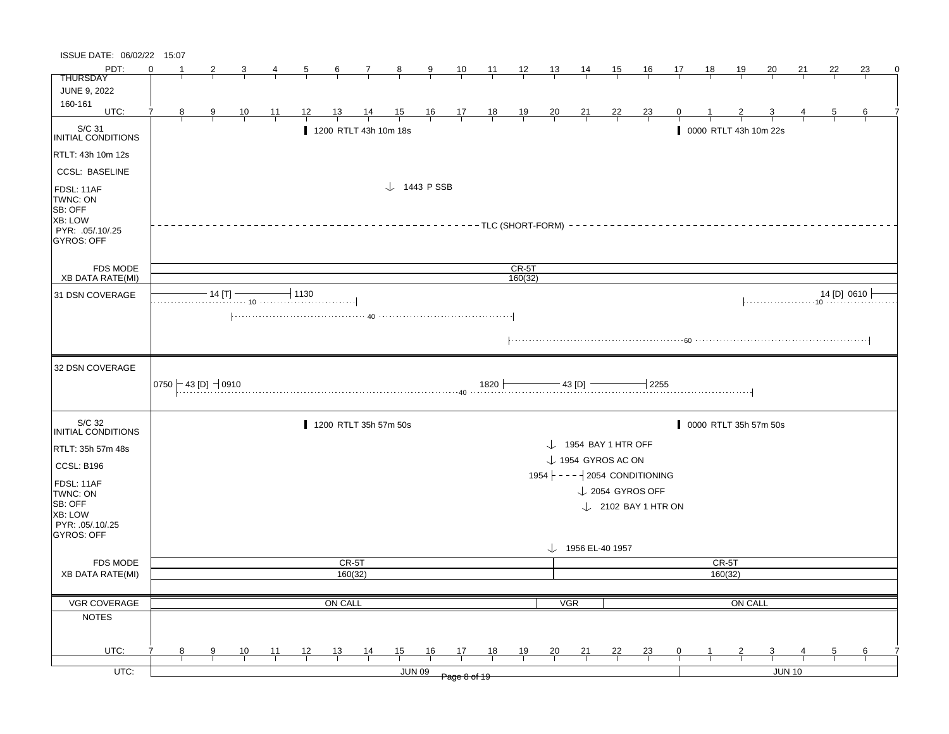| ISSUE DATE: 06/02/22 15:07                                                            |          |               |                                            |                |                |                      |                |                |                        |               |                |                                                                                                   |           |                |                |                                   |                |    |           |                |                       |    |    |                                       |
|---------------------------------------------------------------------------------------|----------|---------------|--------------------------------------------|----------------|----------------|----------------------|----------------|----------------|------------------------|---------------|----------------|---------------------------------------------------------------------------------------------------|-----------|----------------|----------------|-----------------------------------|----------------|----|-----------|----------------|-----------------------|----|----|---------------------------------------|
| PDT:                                                                                  | $\Omega$ |               |                                            |                |                | $\frac{5}{2}$        | $\frac{6}{ }$  | $\frac{7}{ }$  | $\frac{8}{1}$          | $\frac{9}{1}$ | $\frac{10}{1}$ | $\frac{11}{\sqrt{1}}$ $\frac{12}{\sqrt{1}}$                                                       |           | $\frac{13}{1}$ | $\frac{14}{ }$ | $\frac{15}{2}$                    | $\frac{16}{1}$ | 17 | <u>18</u> | <u> 19</u>     | 20                    | 21 | 22 | 23                                    |
| <b>THURSDAY</b>                                                                       |          |               |                                            |                |                |                      |                |                |                        |               |                |                                                                                                   |           |                |                |                                   |                |    |           |                |                       |    |    |                                       |
| JUNE 9, 2022                                                                          |          |               |                                            |                |                |                      |                |                |                        |               |                |                                                                                                   |           |                |                |                                   |                |    |           |                |                       |    |    |                                       |
| 160-161<br>UTC:                                                                       | 7        | $\frac{8}{1}$ | $\frac{9}{1}$                              | $\frac{10}{1}$ | $\frac{11}{1}$ | $\frac{12}{1}$       | $\frac{13}{ }$ | $\frac{14}{ }$ |                        |               |                | $\begin{array}{ccccccccc}\n15 & 16 & 17 & 18 & 19 \\ \hline\n-1 & -1 & -1 & -1 & -1\n\end{array}$ |           | $\frac{20}{ }$ | $\frac{21}{1}$ | $\frac{22}{1}$                    | $\frac{23}{1}$ |    |           |                |                       |    |    | 6                                     |
| $\vert$ S/C 31<br>INITIAL CONDITIONS                                                  |          |               |                                            |                |                |                      |                |                | 1200 RTLT 43h 10m 18s  |               |                |                                                                                                   |           |                |                |                                   |                |    |           |                | 0000 RTLT 43h 10m 22s |    |    |                                       |
| RTLT: 43h 10m 12s                                                                     |          |               |                                            |                |                |                      |                |                |                        |               |                |                                                                                                   |           |                |                |                                   |                |    |           |                |                       |    |    |                                       |
| <b>CCSL: BASELINE</b>                                                                 |          |               |                                            |                |                |                      |                |                |                        |               |                |                                                                                                   |           |                |                |                                   |                |    |           |                |                       |    |    |                                       |
| FDSL: 11AF<br>TWNC: ON<br>SB: OFF<br>XB: LOW<br>PYR: .05/.10/.25<br><b>GYROS: OFF</b> |          |               |                                            |                |                |                      |                |                | $\downarrow$ 1443 PSSB |               |                | --------TLC (SHORT-FORM) -                                                                        |           |                |                |                                   |                |    |           |                |                       |    |    |                                       |
| FDS MODE                                                                              |          |               |                                            |                |                |                      |                |                |                        |               |                |                                                                                                   | $CR-5T$   |                |                |                                   |                |    |           |                |                       |    |    |                                       |
| <b>XB DATA RATE(MI)</b>                                                               |          |               |                                            |                |                |                      |                |                |                        |               |                |                                                                                                   | 160(32)   |                |                |                                   |                |    |           |                |                       |    |    |                                       |
| 31 DSN COVERAGE                                                                       |          |               |                                            |                |                | $\frac{14}{11}$ 1130 |                |                |                        |               |                |                                                                                                   |           |                |                |                                   |                |    |           |                |                       |    |    | $\downarrow$ 14 [D] 0610 $\downarrow$ |
| 32 DSN COVERAGE                                                                       |          |               | $\vert$ 0750 $\vert$ - 43 [D] $\vert$ 0910 |                |                |                      |                |                |                        |               |                |                                                                                                   |           |                |                |                                   |                |    |           |                |                       |    |    |                                       |
| S/C 32<br><b>INITIAL CONDITIONS</b>                                                   |          |               |                                            |                |                |                      |                |                | 1200 RTLT 35h 57m 50s  |               |                |                                                                                                   |           |                |                |                                   |                |    |           |                | 0000 RTLT 35h 57m 50s |    |    |                                       |
| RTLT: 35h 57m 48s                                                                     |          |               |                                            |                |                |                      |                |                |                        |               |                |                                                                                                   |           |                |                | $\downarrow$ 1954 BAY 1 HTR OFF   |                |    |           |                |                       |    |    |                                       |
|                                                                                       |          |               |                                            |                |                |                      |                |                |                        |               |                |                                                                                                   |           |                |                | $\downarrow$ 1954 GYROS AC ON     |                |    |           |                |                       |    |    |                                       |
| CCSL: B196                                                                            |          |               |                                            |                |                |                      |                |                |                        |               |                |                                                                                                   |           |                |                | 1954 $ - - -   2054$ CONDITIONING |                |    |           |                |                       |    |    |                                       |
| FDSL: 11AF<br>TWNC: ON                                                                |          |               |                                            |                |                |                      |                |                |                        |               |                |                                                                                                   |           |                |                | $\downarrow$ 2054 GYROS OFF       |                |    |           |                |                       |    |    |                                       |
| SB: OFF<br>XB: LOW<br>PYR: 05/10/25<br><b>GYROS: OFF</b>                              |          |               |                                            |                |                |                      |                |                |                        |               |                |                                                                                                   |           |                |                | $\downarrow$ 2102 BAY 1 HTR ON    |                |    |           |                |                       |    |    |                                       |
|                                                                                       |          |               |                                            |                |                |                      |                |                |                        |               |                |                                                                                                   |           |                |                | $\downarrow$ 1956 EL-40 1957      |                |    |           |                |                       |    |    |                                       |
| <b>FDS MODE</b>                                                                       |          |               |                                            |                |                |                      |                | CR-5T          |                        |               |                |                                                                                                   |           |                |                |                                   |                |    | CR-5T     |                |                       |    |    |                                       |
| <b>XB DATA RATE(MI)</b>                                                               |          |               |                                            |                |                |                      |                | 160(32)        |                        |               |                |                                                                                                   |           |                |                |                                   |                |    |           | 160(32)        |                       |    |    |                                       |
|                                                                                       |          |               |                                            |                |                |                      |                |                |                        |               |                |                                                                                                   |           |                |                |                                   |                |    |           |                |                       |    |    |                                       |
| <b>VGR COVERAGE</b>                                                                   |          |               |                                            |                |                |                      | ON CALL        |                |                        |               |                |                                                                                                   |           |                | <b>VGR</b>     |                                   |                |    |           | <b>ON CALL</b> |                       |    |    |                                       |
| <b>NOTES</b>                                                                          |          |               |                                            |                |                |                      |                |                |                        |               |                |                                                                                                   |           |                |                |                                   |                |    |           |                |                       |    |    |                                       |
|                                                                                       |          |               |                                            |                |                |                      |                |                |                        |               |                |                                                                                                   |           |                |                |                                   |                |    |           |                |                       |    |    |                                       |
| UTC:                                                                                  |          | 8             | 9                                          | $\frac{10}{1}$ | $\frac{11}{1}$ | <u> 12 </u>          | <u>13</u>      | $\frac{14}{1}$ | 15                     | 16            | $\frac{17}{2}$ | <u>18</u>                                                                                         | <u>19</u> | $\frac{20}{}$  | $\frac{21}{1}$ | $\frac{22}{1}$                    | $\frac{23}{1}$ |    |           |                |                       |    | 5  | 6                                     |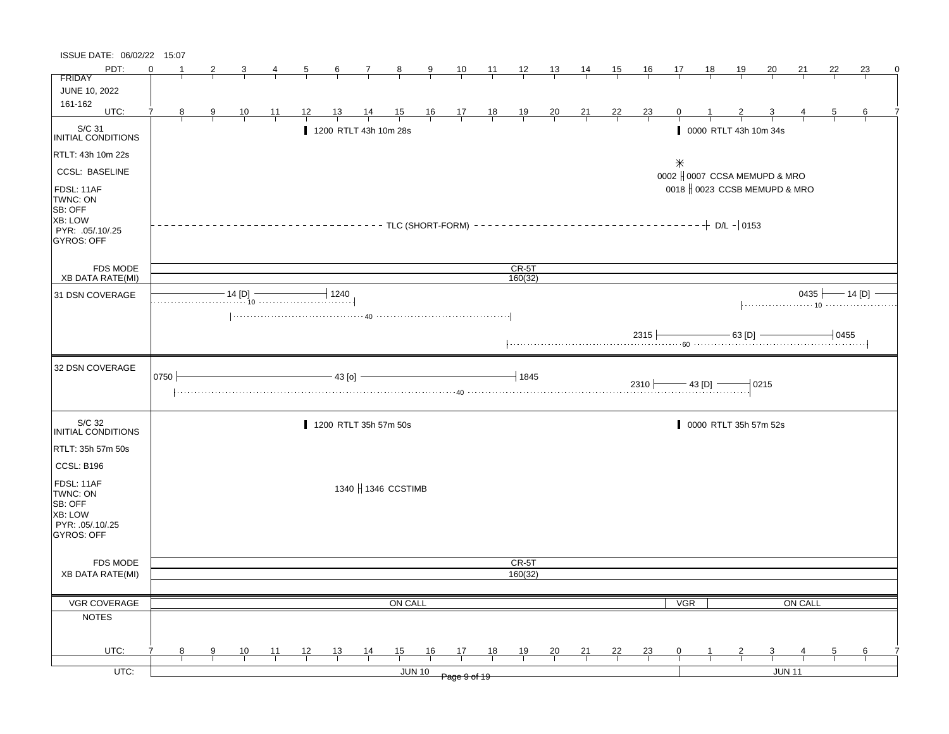| ISSUE DATE: 06/02/22 15:07                                                            |          |                |               |                                                                                                                                                                                                                                                                                                                                                                                                                                    |                 |                |                |                       |                |                |                                                                  |    |                         |                |                |                |                |                                         |    |                       |                               |         |                |                                |  |
|---------------------------------------------------------------------------------------|----------|----------------|---------------|------------------------------------------------------------------------------------------------------------------------------------------------------------------------------------------------------------------------------------------------------------------------------------------------------------------------------------------------------------------------------------------------------------------------------------|-----------------|----------------|----------------|-----------------------|----------------|----------------|------------------------------------------------------------------|----|-------------------------|----------------|----------------|----------------|----------------|-----------------------------------------|----|-----------------------|-------------------------------|---------|----------------|--------------------------------|--|
| PDT:                                                                                  | $\Omega$ |                |               | 3                                                                                                                                                                                                                                                                                                                                                                                                                                  | $\overline{4}$  | $\overline{5}$ | $6\overline{}$ | $\mathcal{I}_{-}$     | $\frac{8}{1}$  | $\overline{9}$ |                                                                  |    | $\frac{10}{1}$ 11 12 13 |                | 14             | 15             | <u>16</u>      | 17                                      | 18 | <u>19</u>             | <u>20</u>                     | 21      | 22             | 23                             |  |
| <b>FRIDAY</b>                                                                         |          |                |               |                                                                                                                                                                                                                                                                                                                                                                                                                                    |                 |                |                |                       |                |                |                                                                  |    |                         |                |                |                |                |                                         |    |                       |                               |         |                |                                |  |
| JUNE 10, 2022                                                                         |          |                |               |                                                                                                                                                                                                                                                                                                                                                                                                                                    |                 |                |                |                       |                |                |                                                                  |    |                         |                |                |                |                |                                         |    |                       |                               |         |                |                                |  |
| 161-162<br>UTC:                                                                       |          |                |               |                                                                                                                                                                                                                                                                                                                                                                                                                                    |                 |                |                |                       |                |                |                                                                  |    |                         |                |                |                |                |                                         |    |                       |                               |         |                |                                |  |
|                                                                                       | 7        | 8 <sub>2</sub> | $\frac{9}{1}$ | $\frac{10}{1}$                                                                                                                                                                                                                                                                                                                                                                                                                     | $\overline{11}$ | 12             | 13             | $\frac{14}{1}$        | $\frac{15}{1}$ |                | $\begin{array}{c cc} 16 & 17 & 18 \\ \hline & & & & \end{array}$ |    | $\frac{19}{1}$          | $\frac{20}{}$  | $\frac{21}{1}$ | $\frac{22}{ }$ | $\frac{23}{1}$ | $\mathbf{0}$                            |    | $rac{2}{1}$           | $\frac{3}{1}$                 |         | $\overline{5}$ | 6                              |  |
| $\vert_{\hspace{-.15cm} \text{INITIAL CONDITIONS}}$                                   |          |                |               |                                                                                                                                                                                                                                                                                                                                                                                                                                    |                 |                |                | 1200 RTLT 43h 10m 28s |                |                |                                                                  |    |                         |                |                |                |                |                                         |    | 0000 RTLT 43h 10m 34s |                               |         |                |                                |  |
| RTLT: 43h 10m 22s                                                                     |          |                |               |                                                                                                                                                                                                                                                                                                                                                                                                                                    |                 |                |                |                       |                |                |                                                                  |    |                         |                |                |                |                |                                         |    |                       |                               |         |                |                                |  |
| <b>CCSL: BASELINE</b>                                                                 |          |                |               |                                                                                                                                                                                                                                                                                                                                                                                                                                    |                 |                |                |                       |                |                |                                                                  |    |                         |                |                |                |                | $\ast$<br>0002   0007 CCSA MEMUPD & MRO |    |                       |                               |         |                |                                |  |
| FDSL: 11AF<br>TWNC: ON<br>SB: OFF<br>XB: LOW<br>PYR: .05/.10/.25<br><b>GYROS: OFF</b> |          |                |               |                                                                                                                                                                                                                                                                                                                                                                                                                                    |                 |                |                |                       |                |                |                                                                  |    |                         |                |                |                |                |                                         |    |                       | 0018   0023 CCSB MEMUPD & MRO |         |                |                                |  |
| FDS MODE                                                                              |          |                |               |                                                                                                                                                                                                                                                                                                                                                                                                                                    |                 |                |                |                       |                |                |                                                                  |    | $CR-5T$                 |                |                |                |                |                                         |    |                       |                               |         |                |                                |  |
| <b>XB DATA RATE(MI)</b>                                                               |          |                |               |                                                                                                                                                                                                                                                                                                                                                                                                                                    |                 |                |                |                       |                |                |                                                                  |    | 160(32)                 |                |                |                |                |                                         |    |                       |                               |         |                |                                |  |
| 31 DSN COVERAGE                                                                       |          |                |               | $\begin{array}{c c c c c c} \hline \multicolumn{3}{c }{\textbf{14 [D]}} & \multicolumn{3}{c }{\textbf{1240}} \\ \hline \multicolumn{3}{c }{\textbf{14 [D]}} & \multicolumn{3}{c }{\textbf{1240}} \\ \hline \multicolumn{3}{c }{\textbf{14 [D]}} & \multicolumn{3}{c }{\textbf{1240}} \\ \hline \multicolumn{3}{c }{\textbf{14 [D]}} & \multicolumn{3}{c }{\textbf{1240}} \\ \hline \multicolumn{3}{c }{\textbf{14 [D]}} & \multic$ |                 |                |                |                       |                |                |                                                                  |    |                         |                |                |                |                |                                         |    |                       |                               |         |                | 0435 $\longleftarrow$ 14 [D] - |  |
|                                                                                       |          |                |               |                                                                                                                                                                                                                                                                                                                                                                                                                                    |                 |                |                |                       |                |                |                                                                  |    |                         |                |                |                |                | $2315$ 63 [D] $-$ 0455                  |    |                       |                               |         |                |                                |  |
| 32 DSN COVERAGE                                                                       | 0750     |                |               |                                                                                                                                                                                                                                                                                                                                                                                                                                    |                 |                | $-43$ [o]      |                       |                |                |                                                                  |    | $-1845$                 |                |                |                |                | $2310$ $- 43$ [D] $-$                   |    |                       | $-0215$                       |         |                |                                |  |
| S/C 32<br>INITIAL CONDITIONS                                                          |          |                |               |                                                                                                                                                                                                                                                                                                                                                                                                                                    |                 |                |                | 1200 RTLT 35h 57m 50s |                |                |                                                                  |    |                         |                |                |                |                |                                         |    |                       | 0000 RTLT 35h 57m 52s         |         |                |                                |  |
| RTLT: 35h 57m 50s<br>CCSL: B196                                                       |          |                |               |                                                                                                                                                                                                                                                                                                                                                                                                                                    |                 |                |                |                       |                |                |                                                                  |    |                         |                |                |                |                |                                         |    |                       |                               |         |                |                                |  |
| FDSL: 11AF<br>TWNC: ON<br>SB: OFF<br>XB: LOW<br>PYR: .05/.10/.25<br>GYROS: OFF        |          |                |               |                                                                                                                                                                                                                                                                                                                                                                                                                                    |                 |                |                | 1340   1346 CCSTIMB   |                |                |                                                                  |    |                         |                |                |                |                |                                         |    |                       |                               |         |                |                                |  |
| FDS MODE                                                                              |          |                |               |                                                                                                                                                                                                                                                                                                                                                                                                                                    |                 |                |                |                       |                |                |                                                                  |    | CR-5T                   |                |                |                |                |                                         |    |                       |                               |         |                |                                |  |
| <b>XB DATA RATE(MI)</b>                                                               |          |                |               |                                                                                                                                                                                                                                                                                                                                                                                                                                    |                 |                |                |                       |                |                |                                                                  |    | 160(32)                 |                |                |                |                |                                         |    |                       |                               |         |                |                                |  |
|                                                                                       |          |                |               |                                                                                                                                                                                                                                                                                                                                                                                                                                    |                 |                |                |                       |                |                |                                                                  |    |                         |                |                |                |                |                                         |    |                       |                               |         |                |                                |  |
| VGR COVERAGE                                                                          |          |                |               |                                                                                                                                                                                                                                                                                                                                                                                                                                    |                 |                |                |                       | ON CALL        |                |                                                                  |    |                         |                |                |                |                |                                         |    |                       |                               | ON CALL |                |                                |  |
|                                                                                       |          |                |               |                                                                                                                                                                                                                                                                                                                                                                                                                                    |                 |                |                |                       |                |                |                                                                  |    |                         |                |                |                |                | <b>VGR</b>                              |    |                       |                               |         |                |                                |  |
| <b>NOTES</b>                                                                          |          |                |               |                                                                                                                                                                                                                                                                                                                                                                                                                                    |                 |                |                |                       |                |                |                                                                  |    |                         |                |                |                |                |                                         |    |                       |                               |         |                |                                |  |
| UTC:                                                                                  |          | 8              | 9             | 10                                                                                                                                                                                                                                                                                                                                                                                                                                 | 11              | 12             | 13             | $\frac{14}{1}$        | 15             | 16             | 17                                                               | 18 | 19                      | $\frac{20}{1}$ | 21             | 22             | 23             | 0                                       |    | $\overline{2}$        | $\overline{\mathbf{3}}$       |         | 5              | 6                              |  |
| UTC:                                                                                  |          |                |               |                                                                                                                                                                                                                                                                                                                                                                                                                                    |                 |                |                |                       |                | <b>JUN 10</b>  |                                                                  |    |                         |                |                |                |                |                                         |    |                       | <b>JUN 11</b>                 |         |                |                                |  |
|                                                                                       |          |                |               |                                                                                                                                                                                                                                                                                                                                                                                                                                    |                 |                |                |                       |                |                | Page 9 of 19                                                     |    |                         |                |                |                |                |                                         |    |                       |                               |         |                |                                |  |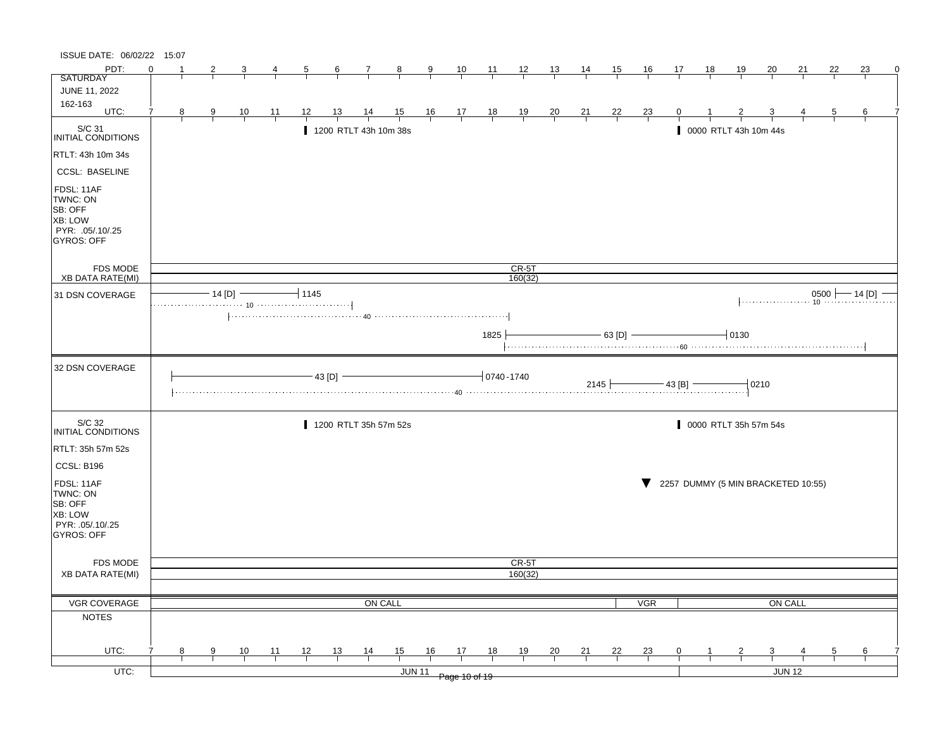| ISSUE DATE: 06/02/22 15:07                                                            |          |   |                         |                |                |                |                  |                       |                |                         |                                                      |                 |                |                |                |                |                |                |           |                                    |         |         |                |                       |
|---------------------------------------------------------------------------------------|----------|---|-------------------------|----------------|----------------|----------------|------------------|-----------------------|----------------|-------------------------|------------------------------------------------------|-----------------|----------------|----------------|----------------|----------------|----------------|----------------|-----------|------------------------------------|---------|---------|----------------|-----------------------|
| PDT:                                                                                  | $\Omega$ |   |                         |                |                | $\overline{b}$ | $6 \overline{6}$ | $\mathcal{I}$         | $\frac{8}{ }$  | $\overline{\mathbf{a}}$ | $\frac{10}{1}$                                       | $\frac{11}{1}$  | $\frac{12}{1}$ | $\frac{13}{2}$ | <u>14</u>      | <u>15</u>      | <u>16</u>      | 17             | <u>18</u> | <u> 19</u>                         | 20      | 21      | 22             | 23                    |
| <b>SATURDAY</b>                                                                       |          |   |                         |                |                |                |                  |                       |                |                         |                                                      |                 |                |                |                |                |                |                |           |                                    |         |         |                |                       |
| JUNE 11, 2022                                                                         |          |   |                         |                |                |                |                  |                       |                |                         |                                                      |                 |                |                |                |                |                |                |           |                                    |         |         |                |                       |
| 162-163<br>UTC:                                                                       | 7        | 8 | $\overline{\mathbf{g}}$ | $\frac{10}{1}$ | <u> 11</u>     | <u> 12 </u>    | <u> 13 </u>      | $\frac{14}{1}$        | $\frac{15}{1}$ |                         | $\begin{array}{c c}\n16 & 17 \\ \hline\n\end{array}$ | $\frac{18}{1}$  | $\frac{19}{1}$ | $\frac{20}{}$  | $\frac{21}{}$  | $\frac{22}{1}$ | $\frac{23}{1}$ |                |           |                                    |         |         | $\overline{5}$ | 6                     |
| S/C 31<br>INITIAL CONDITIONS                                                          |          |   |                         |                |                |                |                  | 1200 RTLT 43h 10m 38s |                |                         |                                                      |                 |                |                |                |                |                |                |           | 0000 RTLT 43h 10m 44s              |         |         |                |                       |
| RTLT: 43h 10m 34s                                                                     |          |   |                         |                |                |                |                  |                       |                |                         |                                                      |                 |                |                |                |                |                |                |           |                                    |         |         |                |                       |
| <b>CCSL: BASELINE</b>                                                                 |          |   |                         |                |                |                |                  |                       |                |                         |                                                      |                 |                |                |                |                |                |                |           |                                    |         |         |                |                       |
| FDSL: 11AF<br>TWNC: ON<br>SB: OFF<br>XB: LOW<br>PYR: .05/.10/.25<br><b>GYROS: OFF</b> |          |   |                         |                |                |                |                  |                       |                |                         |                                                      |                 |                |                |                |                |                |                |           |                                    |         |         |                |                       |
| FDS MODE                                                                              |          |   |                         |                |                |                |                  |                       |                |                         |                                                      |                 | $CR-5T$        |                |                |                |                |                |           |                                    |         |         |                |                       |
| <b>XB DATA RATE(MI)</b>                                                               |          |   |                         |                |                |                |                  |                       |                |                         |                                                      |                 | 160(32)        |                |                |                |                |                |           |                                    |         |         |                |                       |
| 31 DSN COVERAGE                                                                       |          |   |                         | $-14$ [D] $-$  |                | $-11145$       |                  |                       |                |                         |                                                      |                 |                |                |                |                |                |                |           |                                    |         |         |                | $0500$ $- 14$ [D] $-$ |
|                                                                                       |          |   |                         |                |                |                |                  |                       |                |                         |                                                      |                 |                |                |                |                |                |                |           |                                    |         |         |                |                       |
|                                                                                       |          |   |                         |                |                |                |                  |                       |                |                         |                                                      | 1825            |                |                |                | $-$ 63 [D] $-$ |                |                |           | $-0130$                            |         |         |                |                       |
| 32 DSN COVERAGE                                                                       |          |   |                         |                |                |                | 43 [D]           |                       |                |                         |                                                      | $-10740 - 1740$ |                |                |                | 2145           |                | $-$ 43 [B] $-$ |           |                                    | $-0210$ |         |                |                       |
| S/C 32<br><b>INITIAL CONDITIONS</b>                                                   |          |   |                         |                |                |                |                  | 1200 RTLT 35h 57m 52s |                |                         |                                                      |                 |                |                |                |                |                |                |           | 0000 RTLT 35h 57m 54s              |         |         |                |                       |
| RTLT: 35h 57m 52s                                                                     |          |   |                         |                |                |                |                  |                       |                |                         |                                                      |                 |                |                |                |                |                |                |           |                                    |         |         |                |                       |
| CCSL: B196                                                                            |          |   |                         |                |                |                |                  |                       |                |                         |                                                      |                 |                |                |                |                |                |                |           |                                    |         |         |                |                       |
| FDSL: 11AF<br>TWNC: ON<br>SB: OFF<br>XB: LOW<br>PYR: .05/.10/.25<br><b>GYROS: OFF</b> |          |   |                         |                |                |                |                  |                       |                |                         |                                                      |                 |                |                |                |                |                |                |           | 2257 DUMMY (5 MIN BRACKETED 10:55) |         |         |                |                       |
|                                                                                       |          |   |                         |                |                |                |                  |                       |                |                         |                                                      |                 | CR-5T          |                |                |                |                |                |           |                                    |         |         |                |                       |
| <b>FDS MODE</b><br><b>XB DATA RATE(MI)</b>                                            |          |   |                         |                |                |                |                  |                       |                |                         |                                                      |                 | 160(32)        |                |                |                |                |                |           |                                    |         |         |                |                       |
|                                                                                       |          |   |                         |                |                |                |                  |                       |                |                         |                                                      |                 |                |                |                |                |                |                |           |                                    |         |         |                |                       |
| VGR COVERAGE                                                                          |          |   |                         |                |                |                |                  | ON CALL               |                |                         |                                                      |                 |                |                |                |                | <b>VGR</b>     |                |           |                                    |         | ON CALL |                |                       |
| <b>NOTES</b>                                                                          |          |   |                         |                |                |                |                  |                       |                |                         |                                                      |                 |                |                |                |                |                |                |           |                                    |         |         |                |                       |
|                                                                                       |          |   |                         |                |                |                |                  |                       |                |                         |                                                      |                 |                |                |                |                |                |                |           |                                    |         |         |                |                       |
|                                                                                       |          |   |                         |                |                |                |                  |                       |                |                         |                                                      |                 |                |                |                |                |                |                |           |                                    |         |         |                |                       |
| UTC:                                                                                  |          | 8 | 9                       | $\frac{10}{1}$ | $\frac{11}{1}$ | 12             | $\frac{13}{1}$   | $\frac{14}{1}$        | 15             | 16                      | $\frac{17}{1}$                                       | 18              | $\frac{19}{1}$ | $\frac{20}{}$  | $\frac{21}{1}$ | $\frac{22}{1}$ | $\frac{23}{1}$ | $\mathbf{0}$   |           |                                    |         |         | $\frac{5}{2}$  | $\frac{6}{1}$         |
| $UTC$ :                                                                               |          |   |                         |                |                |                |                  |                       |                | <b>JUN 11</b>           | Page 10 of 19                                        |                 |                |                |                |                |                |                |           |                                    |         | JUN 12  |                |                       |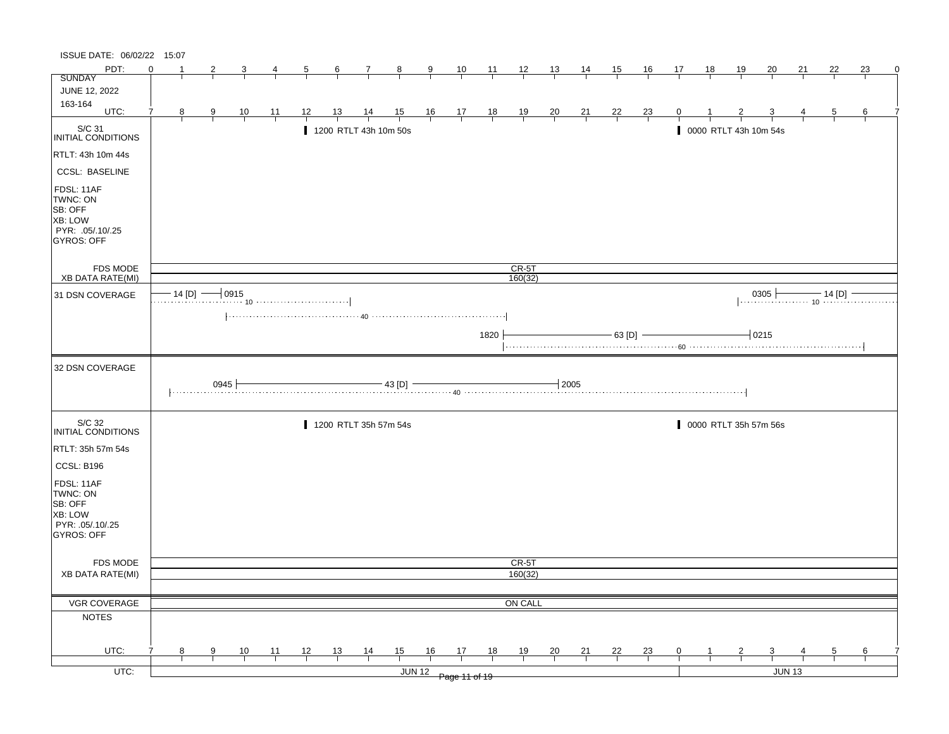| ISSUE DATE: 06/02/22 15:07                                                     |          |               |                |                |                |                |                |                       |                |               |                                                      |                |                    |                |                |                |                |                |    |               |                                                                      |               |                |    |   |
|--------------------------------------------------------------------------------|----------|---------------|----------------|----------------|----------------|----------------|----------------|-----------------------|----------------|---------------|------------------------------------------------------|----------------|--------------------|----------------|----------------|----------------|----------------|----------------|----|---------------|----------------------------------------------------------------------|---------------|----------------|----|---|
| PDT:                                                                           | $\Omega$ |               | 2              |                | 4              | $\overline{5}$ | $\frac{6}{ }$  | $\mathcal{I}$         | $\frac{8}{ }$  | $\frac{9}{5}$ | $\frac{10}{1}$                                       | $\frac{11}{2}$ | $\frac{12}{ }$     | 13             | 14             | 15             | <u>16</u>      | 17             | 18 | <u>19</u>     | 20                                                                   | 21            | 22             | 23 | 0 |
| <b>SUNDAY</b>                                                                  |          |               |                |                |                |                |                |                       |                |               |                                                      |                |                    |                |                |                |                |                |    |               |                                                                      |               |                |    |   |
| JUNE 12, 2022                                                                  |          |               |                |                |                |                |                |                       |                |               |                                                      |                |                    |                |                |                |                |                |    |               |                                                                      |               |                |    |   |
| 163-164<br>UTC:                                                                | 7        | 8             | $\overline{9}$ | $\frac{10}{1}$ | $\frac{11}{1}$ | 12             | <u>13</u>      | $\frac{14}{1}$        | $\frac{15}{1}$ |               | $\begin{array}{c c}\n16 & 17 \\ \hline\n\end{array}$ | $\frac{18}{1}$ | $\frac{19}{1}$     | $\frac{20}{1}$ | $\frac{21}{1}$ | $\frac{22}{1}$ | $\frac{23}{1}$ |                |    |               |                                                                      |               | $\overline{5}$ | 6  |   |
| S/C 31<br>INITIAL CONDITIONS                                                   |          |               |                |                |                |                |                | 1200 RTLT 43h 10m 50s |                |               |                                                      |                |                    |                |                |                |                |                |    |               | 0000 RTLT 43h 10m 54s                                                |               |                |    |   |
| RTLT: 43h 10m 44s                                                              |          |               |                |                |                |                |                |                       |                |               |                                                      |                |                    |                |                |                |                |                |    |               |                                                                      |               |                |    |   |
| <b>CCSL: BASELINE</b>                                                          |          |               |                |                |                |                |                |                       |                |               |                                                      |                |                    |                |                |                |                |                |    |               |                                                                      |               |                |    |   |
| FDSL: 11AF<br>TWNC: ON<br>SB: OFF<br>XB: LOW<br>PYR: .05/.10/.25<br>GYROS: OFF |          |               |                |                |                |                |                |                       |                |               |                                                      |                |                    |                |                |                |                |                |    |               |                                                                      |               |                |    |   |
| FDS MODE<br><b>XB DATA RATE(MI)</b>                                            |          |               |                |                |                |                |                |                       |                |               |                                                      |                | $CR-5T$<br>160(32) |                |                |                |                |                |    |               |                                                                      |               |                |    |   |
|                                                                                |          | $-14$ [D] $-$ |                | $-10915$       |                |                |                |                       |                |               |                                                      |                |                    |                |                |                |                |                |    |               |                                                                      |               |                |    |   |
| 31 DSN COVERAGE                                                                |          |               |                |                |                |                |                |                       |                |               |                                                      |                |                    |                |                |                |                |                |    |               | $\begin{array}{c c c c c} \hline 0305 & 14 [D] & \hline \end{array}$ |               |                |    |   |
|                                                                                |          |               |                |                |                |                |                |                       |                |               |                                                      |                |                    |                |                |                |                |                |    |               |                                                                      |               |                |    |   |
|                                                                                |          |               |                |                |                |                |                |                       |                |               |                                                      | 1820           |                    |                |                | $-63$ [D] $-$  |                |                |    |               | $-0215$                                                              |               |                |    |   |
| 32 DSN COVERAGE                                                                |          |               |                |                |                |                |                |                       |                |               |                                                      |                |                    |                |                |                |                |                |    |               |                                                                      |               |                |    |   |
|                                                                                |          |               | 0945           |                |                |                |                |                       | - 43 [D] -     |               |                                                      |                |                    | $+2005$        |                |                |                |                |    |               |                                                                      |               |                |    |   |
| S/C 32<br>INITIAL CONDITIONS                                                   |          |               |                |                |                |                |                | 1200 RTLT 35h 57m 54s |                |               |                                                      |                |                    |                |                |                |                |                |    |               | 0000 RTLT 35h 57m 56s                                                |               |                |    |   |
| RTLT: 35h 57m 54s                                                              |          |               |                |                |                |                |                |                       |                |               |                                                      |                |                    |                |                |                |                |                |    |               |                                                                      |               |                |    |   |
| CCSL: B196                                                                     |          |               |                |                |                |                |                |                       |                |               |                                                      |                |                    |                |                |                |                |                |    |               |                                                                      |               |                |    |   |
| FDSL: 11AF<br>TWNC: ON<br>SB: OFF<br>XB: LOW<br>PYR: 05/10/25<br>GYROS: OFF    |          |               |                |                |                |                |                |                       |                |               |                                                      |                |                    |                |                |                |                |                |    |               |                                                                      |               |                |    |   |
| FDS MODE                                                                       |          |               |                |                |                |                |                |                       |                |               |                                                      |                | CR-5T              |                |                |                |                |                |    |               |                                                                      |               |                |    |   |
| <b>XB DATA RATE(MI)</b>                                                        |          |               |                |                |                |                |                |                       |                |               |                                                      |                | 160(32)            |                |                |                |                |                |    |               |                                                                      |               |                |    |   |
|                                                                                |          |               |                |                |                |                |                |                       |                |               |                                                      |                |                    |                |                |                |                |                |    |               |                                                                      |               |                |    |   |
| VGR COVERAGE                                                                   |          |               |                |                |                |                |                |                       |                |               |                                                      |                | ON CALL            |                |                |                |                |                |    |               |                                                                      |               |                |    |   |
| <b>NOTES</b>                                                                   |          |               |                |                |                |                |                |                       |                |               |                                                      |                |                    |                |                |                |                |                |    |               |                                                                      |               |                |    |   |
| UTC:                                                                           |          | 8             | 9              | $\frac{10}{1}$ | $\frac{11}{1}$ | $\frac{12}{ }$ | $\frac{13}{ }$ | $\frac{14}{1}$        | $\frac{15}{1}$ | 16            | $\frac{17}{2}$                                       | 18             | $\frac{19}{1}$     | $\frac{20}{1}$ | $\frac{21}{1}$ | $\frac{22}{1}$ | $\frac{23}{1}$ | $\overline{0}$ |    | $\frac{2}{ }$ | $\frac{3}{1}$                                                        |               | $\overline{5}$ | 6  |   |
|                                                                                |          |               |                |                |                |                |                |                       |                |               |                                                      |                |                    |                |                |                |                |                |    |               |                                                                      |               |                |    |   |
| $UTC$ :                                                                        |          |               |                |                |                |                |                |                       |                |               | JUN 12 Page 11 of 19                                 |                |                    |                |                |                |                |                |    |               |                                                                      | <b>JUN 13</b> |                |    |   |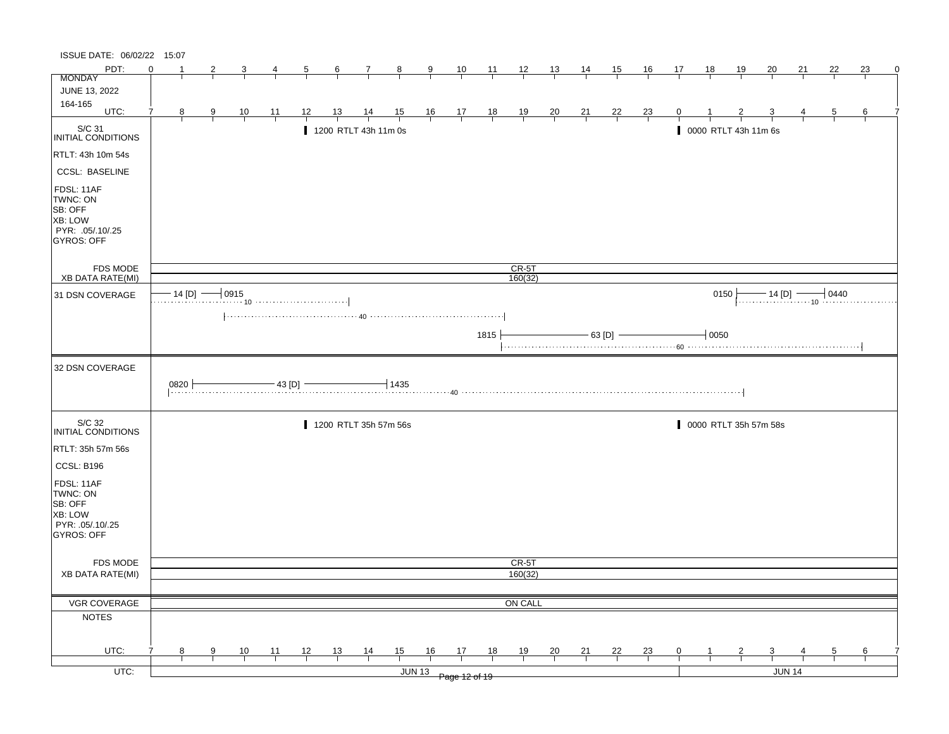| ISSUE DATE: 06/02/22 15:07                                                                   |          |                |                |                |                                             |                |                |                       |                          |                                                                      |                |                |                |                |                |                |                |                |           |                      |                         |               |                |    |   |
|----------------------------------------------------------------------------------------------|----------|----------------|----------------|----------------|---------------------------------------------|----------------|----------------|-----------------------|--------------------------|----------------------------------------------------------------------|----------------|----------------|----------------|----------------|----------------|----------------|----------------|----------------|-----------|----------------------|-------------------------|---------------|----------------|----|---|
| PDT:                                                                                         | $\Omega$ |                | 2              |                |                                             | $\overline{5}$ | $\frac{6}{ }$  | $\overline{7}$        | $\frac{8}{ }$            | $\frac{9}{1}$                                                        | $\frac{10}{ }$ | $\frac{11}{1}$ | $\frac{12}{1}$ | $\frac{13}{1}$ | $\frac{14}{1}$ | 15             | $\frac{16}{1}$ | 17             | <u>18</u> | $\frac{19}{2}$       | <u>20</u>               | 21            | 22             | 23 | 0 |
| <b>MONDAY</b>                                                                                |          |                |                |                |                                             |                |                |                       |                          |                                                                      |                |                |                |                |                |                |                |                |           |                      |                         |               |                |    |   |
| JUNE 13, 2022                                                                                |          |                |                |                |                                             |                |                |                       |                          |                                                                      |                |                |                |                |                |                |                |                |           |                      |                         |               |                |    |   |
| 164-165<br>UTC:                                                                              |          | 8 <sup>8</sup> | $\overline{9}$ | $\frac{10}{1}$ | $\frac{11}{1}$                              | $\frac{12}{1}$ | $\frac{13}{ }$ | $\frac{14}{1}$        | $\frac{15}{1}$           | $\begin{array}{c cc} 16 & 17 & 18 \\ \hline &   &   &   \end{array}$ |                |                | $\frac{19}{1}$ | $\frac{20}{1}$ | $\frac{21}{1}$ | $\frac{22}{ }$ | $\frac{23}{}$  |                |           |                      |                         |               | $\overline{5}$ | 6  |   |
| S/C 31<br>INITIAL CONDITIONS                                                                 |          |                |                |                |                                             |                |                | 1200 RTLT 43h 11m 0s  |                          |                                                                      |                |                |                |                |                |                |                |                |           | 0000 RTLT 43h 11m 6s |                         |               |                |    |   |
| RTLT: 43h 10m 54s                                                                            |          |                |                |                |                                             |                |                |                       |                          |                                                                      |                |                |                |                |                |                |                |                |           |                      |                         |               |                |    |   |
| <b>CCSL: BASELINE</b>                                                                        |          |                |                |                |                                             |                |                |                       |                          |                                                                      |                |                |                |                |                |                |                |                |           |                      |                         |               |                |    |   |
| FDSL: 11AF<br>TWNC: ON<br>SB: OFF<br><b>XB: LOW</b><br>PYR: .05/.10/.25<br>GYROS: OFF        |          |                |                |                |                                             |                |                |                       |                          |                                                                      |                |                |                |                |                |                |                |                |           |                      |                         |               |                |    |   |
| FDS MODE                                                                                     |          |                |                |                |                                             |                |                |                       |                          |                                                                      |                |                | $CR-5T$        |                |                |                |                |                |           |                      |                         |               |                |    |   |
| <b>XB DATA RATE(MI)</b>                                                                      |          |                |                |                |                                             |                |                |                       |                          |                                                                      |                |                | 160(32)        |                |                |                |                |                |           |                      |                         |               |                |    |   |
| 31 DSN COVERAGE                                                                              |          |                |                |                | $\cdot$ 14 [D] $\longrightarrow$ 0915<br>10 |                |                |                       |                          |                                                                      |                |                |                |                |                |                |                |                | 0150      |                      |                         |               |                |    |   |
|                                                                                              |          |                |                |                |                                             |                |                |                       |                          |                                                                      |                |                |                |                |                |                |                |                |           |                      |                         |               |                |    |   |
|                                                                                              |          |                |                |                |                                             |                |                |                       |                          |                                                                      |                | 1815           |                |                |                | - 63 [D] -     |                |                | 10050     |                      |                         |               |                |    |   |
| 32 DSN COVERAGE                                                                              |          |                |                |                |                                             |                |                |                       |                          |                                                                      |                |                |                |                |                |                |                |                |           |                      |                         |               |                |    |   |
|                                                                                              | 0820     |                |                |                | $-43$ [D] $-$                               |                |                |                       | $\overline{1}$ 1435      |                                                                      |                |                |                |                |                |                |                |                |           |                      |                         |               |                |    |   |
| S/C 32<br>INITIAL CONDITIONS                                                                 |          |                |                |                |                                             |                |                | 1200 RTLT 35h 57m 56s |                          |                                                                      |                |                |                |                |                |                |                |                |           |                      | 0000 RTLT 35h 57m 58s   |               |                |    |   |
| RTLT: 35h 57m 56s                                                                            |          |                |                |                |                                             |                |                |                       |                          |                                                                      |                |                |                |                |                |                |                |                |           |                      |                         |               |                |    |   |
|                                                                                              |          |                |                |                |                                             |                |                |                       |                          |                                                                      |                |                |                |                |                |                |                |                |           |                      |                         |               |                |    |   |
| CCSL: B196                                                                                   |          |                |                |                |                                             |                |                |                       |                          |                                                                      |                |                |                |                |                |                |                |                |           |                      |                         |               |                |    |   |
| FDSL: 11AF<br>TWNC: ON<br>SB: OFF<br><b>XB: LOW</b><br>PYR: .05/.10/.25<br><b>GYROS: OFF</b> |          |                |                |                |                                             |                |                |                       |                          |                                                                      |                |                |                |                |                |                |                |                |           |                      |                         |               |                |    |   |
|                                                                                              |          |                |                |                |                                             |                |                |                       |                          |                                                                      |                |                |                |                |                |                |                |                |           |                      |                         |               |                |    |   |
| FDS MODE                                                                                     |          |                |                |                |                                             |                |                |                       |                          |                                                                      |                |                | CR-5T          |                |                |                |                |                |           |                      |                         |               |                |    |   |
| <b>XB DATA RATE(MI)</b>                                                                      |          |                |                |                |                                             |                |                |                       |                          |                                                                      |                |                | 160(32)        |                |                |                |                |                |           |                      |                         |               |                |    |   |
|                                                                                              |          |                |                |                |                                             |                |                |                       |                          |                                                                      |                |                |                |                |                |                |                |                |           |                      |                         |               |                |    |   |
| VGR COVERAGE                                                                                 |          |                |                |                |                                             |                |                |                       |                          |                                                                      |                |                | ON CALL        |                |                |                |                |                |           |                      |                         |               |                |    |   |
| <b>NOTES</b>                                                                                 |          |                |                |                |                                             |                |                |                       |                          |                                                                      |                |                |                |                |                |                |                |                |           |                      |                         |               |                |    |   |
| UTC:                                                                                         |          | 8              | 9              |                |                                             |                |                |                       |                          | 16                                                                   | 17             | 18             |                |                |                |                |                | $\overline{0}$ |           | $\overline{z}$       | $\overline{\mathbf{3}}$ |               | $\overline{5}$ | 6  |   |
| $UTC$ :                                                                                      |          |                |                | $\frac{10}{ }$ | $\frac{11}{1}$                              | $\frac{12}{ }$ | $\frac{13}{ }$ | $\frac{14}{1}$        | $\frac{15}{1}$<br>JUN 13 |                                                                      | Page 12 of 19  |                | $\frac{19}{1}$ | $\frac{20}{}$  | $\frac{21}{1}$ | $\frac{22}{1}$ | $\frac{23}{ }$ |                |           |                      |                         | <b>JUN 14</b> |                |    |   |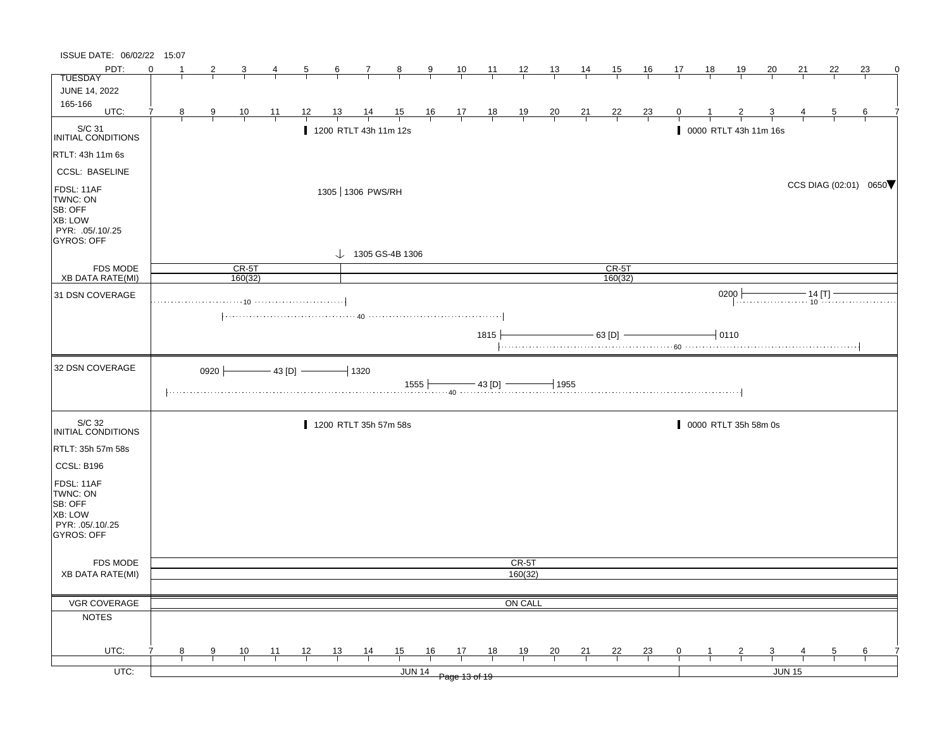| ISSUE DATE: 06/02/22 15:07                                                                   |          |                                                                                                                                                 |               |                                                    |                |                |                |                       |        |                |                                                                      |       |                |                |                |                       |                |              |           |                       |                         |        |                |    |             |
|----------------------------------------------------------------------------------------------|----------|-------------------------------------------------------------------------------------------------------------------------------------------------|---------------|----------------------------------------------------|----------------|----------------|----------------|-----------------------|--------|----------------|----------------------------------------------------------------------|-------|----------------|----------------|----------------|-----------------------|----------------|--------------|-----------|-----------------------|-------------------------|--------|----------------|----|-------------|
| PDT:                                                                                         | $\Omega$ |                                                                                                                                                 | 2             | 3                                                  | 4              | $\overline{5}$ | 6              | $\mathbf{7}$          | $_{8}$ | $\overline{9}$ | $\frac{10}{1}$                                                       | $-11$ | $\frac{12}{ }$ | $\frac{13}{2}$ | 14             | 15                    | <u>16</u>      | 17           | <u>18</u> | <u>19</u>             | 20                      | 21     | 22             | 23 | $\mathbf 0$ |
| <b>TUESDAY</b>                                                                               |          |                                                                                                                                                 |               |                                                    |                |                |                |                       |        |                |                                                                      |       |                |                |                |                       |                |              |           |                       |                         |        |                |    |             |
| <b>JUNE 14, 2022</b>                                                                         |          |                                                                                                                                                 |               |                                                    |                |                |                |                       |        |                |                                                                      |       |                |                |                |                       |                |              |           |                       |                         |        |                |    |             |
| 165-166<br>UTC:                                                                              | 7        | 8 <sup>2</sup>                                                                                                                                  | $\frac{9}{1}$ | $\frac{10}{1}$                                     | $\frac{11}{1}$ | 12             | $\frac{13}{ }$ | $\frac{14}{ }$        |        |                |                                                                      |       |                |                |                | $\frac{22}{1}$        |                | $\mathbf{0}$ |           |                       |                         |        | $\overline{5}$ | 6  |             |
|                                                                                              |          |                                                                                                                                                 |               |                                                    |                |                |                |                       |        |                | $\begin{array}{ccccccccc}\n15 & 16 & 17 & 18 \\ \hline\n\end{array}$ |       | $\frac{19}{1}$ | $\frac{20}{1}$ | $\frac{21}{1}$ |                       | $\frac{23}{ }$ |              |           |                       |                         |        |                |    |             |
| $\vert_{\mathsf{INITIAL~COMD} \vert \mathsf{TIONS}}$                                         |          |                                                                                                                                                 |               |                                                    |                |                |                | 1200 RTLT 43h 11m 12s |        |                |                                                                      |       |                |                |                |                       |                |              |           | 0000 RTLT 43h 11m 16s |                         |        |                |    |             |
| RTLT: 43h 11m 6s                                                                             |          |                                                                                                                                                 |               |                                                    |                |                |                |                       |        |                |                                                                      |       |                |                |                |                       |                |              |           |                       |                         |        |                |    |             |
| <b>CCSL: BASELINE</b>                                                                        |          |                                                                                                                                                 |               |                                                    |                |                |                |                       |        |                |                                                                      |       |                |                |                |                       |                |              |           |                       |                         |        |                |    |             |
| FDSL: 11AF<br>TWNC: ON<br>SB: OFF<br><b>XB: LOW</b><br>PYR: .05/.10/.25<br><b>GYROS: OFF</b> |          | 1305 1306 PWS/RH<br>$\downarrow$ 1305 GS-4B 1306<br>$CR-5T$<br>$CR-5T$<br>160(32)<br>160(32)<br>0200                                            |               |                                                    |                |                |                |                       |        |                |                                                                      |       |                |                |                | CCS DIAG (02:01) 0650 |                |              |           |                       |                         |        |                |    |             |
|                                                                                              |          |                                                                                                                                                 |               |                                                    |                |                |                |                       |        |                |                                                                      |       |                |                |                |                       |                |              |           |                       |                         |        |                |    |             |
| <b>FDS MODE</b><br><b>XB DATA RATE(MI)</b>                                                   |          |                                                                                                                                                 |               |                                                    |                |                |                |                       |        |                |                                                                      |       |                |                |                |                       |                |              |           |                       |                         |        |                |    |             |
| 31 DSN COVERAGE                                                                              |          |                                                                                                                                                 |               |                                                    |                |                |                |                       |        |                |                                                                      |       |                |                |                |                       |                |              |           |                       |                         |        |                |    |             |
|                                                                                              |          |                                                                                                                                                 |               |                                                    |                |                |                |                       |        |                |                                                                      |       |                |                |                |                       |                |              |           |                       |                         |        |                |    |             |
|                                                                                              |          | 0 $\begin{array}{c} \hline \text{--} & \text{--} \\ \hline \text{--} & \text{--} \\ \text{--} & \text{--} \\ \text{--} & \text{--} \end{array}$ |               |                                                    |                |                |                |                       |        |                |                                                                      |       |                |                |                |                       |                |              |           |                       |                         |        |                |    |             |
|                                                                                              |          |                                                                                                                                                 |               |                                                    |                |                |                |                       |        |                |                                                                      | 1815  |                |                |                | $-63$ [D] $-$         |                |              |           | $-10110$              |                         |        |                |    |             |
|                                                                                              |          |                                                                                                                                                 |               |                                                    |                |                |                |                       |        |                |                                                                      |       |                |                |                |                       |                |              |           |                       |                         |        |                |    |             |
| 32 DSN COVERAGE                                                                              |          |                                                                                                                                                 |               | 0920 $\longleftarrow$ 43 [D] $\longleftarrow$ 1320 |                |                |                |                       |        |                |                                                                      |       |                | $-1955$        |                |                       |                |              |           |                       |                         |        |                |    |             |
|                                                                                              |          |                                                                                                                                                 |               |                                                    |                |                |                |                       |        |                |                                                                      |       |                |                |                |                       |                |              |           |                       |                         |        |                |    |             |
| S/C 32<br>INITIAL CONDITIONS                                                                 |          |                                                                                                                                                 |               |                                                    |                |                |                | 1200 RTLT 35h 57m 58s |        |                |                                                                      |       |                |                |                |                       |                |              |           | 0000 RTLT 35h 58m 0s  |                         |        |                |    |             |
| RTLT: 35h 57m 58s                                                                            |          |                                                                                                                                                 |               |                                                    |                |                |                |                       |        |                |                                                                      |       |                |                |                |                       |                |              |           |                       |                         |        |                |    |             |
| CCSL: B196                                                                                   |          |                                                                                                                                                 |               |                                                    |                |                |                |                       |        |                |                                                                      |       |                |                |                |                       |                |              |           |                       |                         |        |                |    |             |
| FDSL: 11AF<br>TWNC: ON<br>SB: OFF<br><b>XB: LOW</b><br>PYR: .05/.10/.25<br>GYROS: OFF        |          |                                                                                                                                                 |               |                                                    |                |                |                |                       |        |                |                                                                      |       |                |                |                |                       |                |              |           |                       |                         |        |                |    |             |
|                                                                                              |          |                                                                                                                                                 |               |                                                    |                |                |                |                       |        |                |                                                                      |       |                |                |                |                       |                |              |           |                       |                         |        |                |    |             |
| FDS MODE                                                                                     |          |                                                                                                                                                 |               |                                                    |                |                |                |                       |        |                |                                                                      |       | CR-5T          |                |                |                       |                |              |           |                       |                         |        |                |    |             |
| <b>XB DATA RATE(MI)</b>                                                                      |          |                                                                                                                                                 |               |                                                    |                |                |                |                       |        |                |                                                                      |       | 160(32)        |                |                |                       |                |              |           |                       |                         |        |                |    |             |
|                                                                                              |          |                                                                                                                                                 |               |                                                    |                |                |                |                       |        |                |                                                                      |       |                |                |                |                       |                |              |           |                       |                         |        |                |    |             |
| <b>VGR COVERAGE</b>                                                                          |          |                                                                                                                                                 |               |                                                    |                |                |                |                       |        |                |                                                                      |       | ON CALL        |                |                |                       |                |              |           |                       |                         |        |                |    |             |
| <b>NOTES</b>                                                                                 |          |                                                                                                                                                 |               |                                                    |                |                |                |                       |        |                |                                                                      |       |                |                |                |                       |                |              |           |                       |                         |        |                |    |             |
| UTC:                                                                                         |          | 8                                                                                                                                               | 9             | 10                                                 | 11             | 12             | 13             |                       | 15     | 16             | 17                                                                   | 18    | 19             |                | $\frac{21}{1}$ | 22                    | $\frac{23}{1}$ | 0            |           | $\overline{2}$        | $\overline{\mathbf{3}}$ |        | 5              | 6  |             |
|                                                                                              |          |                                                                                                                                                 |               |                                                    |                |                |                | $\frac{14}{1}$        |        |                |                                                                      |       |                | $\frac{20}{1}$ |                |                       |                |              |           |                       |                         |        |                |    |             |
| UTC:                                                                                         |          |                                                                                                                                                 |               |                                                    |                |                |                |                       |        | <b>JUN 14</b>  | Page 13 of 19                                                        |       |                |                |                |                       |                |              |           |                       |                         | JUN 15 |                |    |             |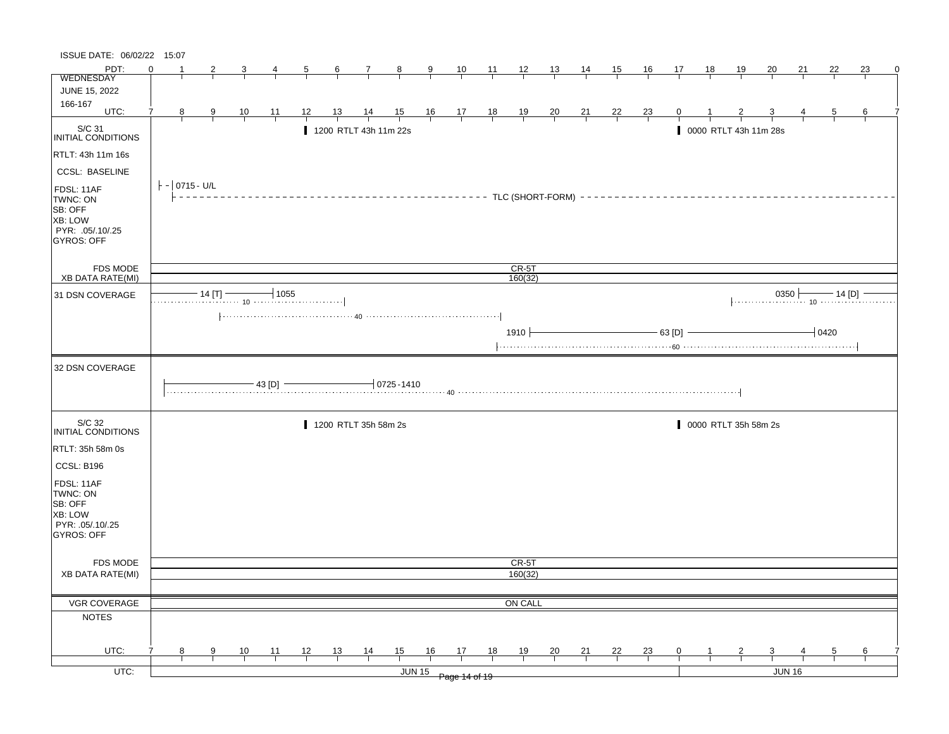| ISSUE DATE: 06/02/22 15:07                                                            |          |                                                                                                                          |               |                |                |                |                |                                                                                                                                                                                                                                                                                                |                |               |                      |                      |                |                |                               |                |                |                |                       |                |               |               |                |               |   |
|---------------------------------------------------------------------------------------|----------|--------------------------------------------------------------------------------------------------------------------------|---------------|----------------|----------------|----------------|----------------|------------------------------------------------------------------------------------------------------------------------------------------------------------------------------------------------------------------------------------------------------------------------------------------------|----------------|---------------|----------------------|----------------------|----------------|----------------|-------------------------------|----------------|----------------|----------------|-----------------------|----------------|---------------|---------------|----------------|---------------|---|
| PDT:                                                                                  | $\Omega$ |                                                                                                                          |               |                |                | $\frac{5}{}$   | $\frac{6}{ }$  | $\frac{7}{ }$                                                                                                                                                                                                                                                                                  | $\frac{8}{1}$  | $\frac{9}{1}$ |                      | $\frac{10}{1}$ 11 12 |                | $\frac{13}{ }$ | $\frac{14}{1}$                | $\frac{15}{1}$ | $\frac{16}{ }$ | $\frac{17}{1}$ | $\frac{18}{1}$        | $\frac{19}{1}$ | $\frac{20}{}$ | 21            | 22             | 23            | 0 |
| WEDNESDAY                                                                             |          |                                                                                                                          |               |                |                |                |                |                                                                                                                                                                                                                                                                                                |                |               |                      |                      |                |                |                               |                |                |                |                       |                |               |               |                |               |   |
| JUNE 15, 2022                                                                         |          |                                                                                                                          |               |                |                |                |                |                                                                                                                                                                                                                                                                                                |                |               |                      |                      |                |                |                               |                |                |                |                       |                |               |               |                |               |   |
| 166-167<br>UTC:                                                                       | 7        | 8                                                                                                                        | $\frac{9}{1}$ | $\frac{10}{1}$ | $\frac{11}{1}$ | $\frac{12}{ }$ | $\frac{13}{ }$ | $\frac{14}{ }$                                                                                                                                                                                                                                                                                 |                |               |                      |                      |                |                | $\frac{21}{1}$ $\frac{22}{1}$ |                | $\frac{23}{1}$ |                |                       |                |               |               | $\overline{5}$ |               |   |
|                                                                                       |          |                                                                                                                          |               |                |                |                |                |                                                                                                                                                                                                                                                                                                | 15 16 17 18 19 |               |                      |                      |                | $\frac{20}{1}$ |                               |                |                |                |                       |                |               |               |                |               |   |
| S/C 31<br>INITIAL CONDITIONS                                                          |          |                                                                                                                          |               |                |                |                |                | 1200 RTLT 43h 11m 22s                                                                                                                                                                                                                                                                          |                |               |                      |                      |                |                |                               |                |                |                | 0000 RTLT 43h 11m 28s |                |               |               |                |               |   |
| RTLT: 43h 11m 16s                                                                     |          |                                                                                                                          |               |                |                |                |                |                                                                                                                                                                                                                                                                                                |                |               |                      |                      |                |                |                               |                |                |                |                       |                |               |               |                |               |   |
| <b>CCSL: BASELINE</b>                                                                 |          |                                                                                                                          |               |                |                |                |                |                                                                                                                                                                                                                                                                                                |                |               |                      |                      |                |                |                               |                |                |                |                       |                |               |               |                |               |   |
| FDSL: 11AF<br>TWNC: ON<br>SB: OFF<br>XB: LOW<br>PYR: .05/.10/.25<br><b>GYROS: OFF</b> |          | $ - 0715 - U/L $<br>------------------------------- TLC (SHORT-FORM) -------------------------------<br>CR-5T<br>160(32) |               |                |                |                |                |                                                                                                                                                                                                                                                                                                |                |               |                      |                      |                |                |                               |                |                |                |                       |                |               |               |                |               |   |
| FDS MODE                                                                              |          |                                                                                                                          |               |                |                |                |                |                                                                                                                                                                                                                                                                                                |                |               |                      |                      |                |                |                               |                |                |                |                       |                |               |               |                |               |   |
| <b>XB DATA RATE(MI)</b>                                                               |          |                                                                                                                          |               |                |                |                |                |                                                                                                                                                                                                                                                                                                |                |               |                      |                      |                |                |                               |                |                |                |                       |                |               |               |                |               |   |
| 31 DSN COVERAGE                                                                       |          | $\frac{14}{11}$ $\frac{1}{10}$ $\frac{1055}{10}$                                                                         |               |                |                |                |                |                                                                                                                                                                                                                                                                                                |                |               |                      |                      |                |                |                               |                |                |                |                       |                |               |               |                |               |   |
|                                                                                       |          | $- 63 [D]$<br>1910 $\vdash$<br>$-0420$                                                                                   |               |                |                |                |                |                                                                                                                                                                                                                                                                                                |                |               |                      |                      |                |                |                               |                |                |                |                       |                |               |               |                |               |   |
| 32 DSN COVERAGE                                                                       |          |                                                                                                                          |               |                |                |                |                |                                                                                                                                                                                                                                                                                                |                |               |                      |                      |                |                |                               |                |                |                |                       |                |               |               |                |               |   |
|                                                                                       |          |                                                                                                                          |               |                |                |                |                | $\frac{1}{43}$ [D] $\frac{1}{43}$ [D] $\frac{1}{43}$ (D $\frac{1}{43}$ (D $\frac{1}{43}$ (D $\frac{1}{43}$ (D $\frac{1}{43}$ (D $\frac{1}{43}$ (D $\frac{1}{43}$ (D $\frac{1}{43}$ (D $\frac{1}{43}$ (D $\frac{1}{43}$ (D $\frac{1}{43}$ (D $\frac{1}{43}$ (D $\frac{1}{43}$ (D $\frac{1}{43}$ |                |               |                      |                      |                |                |                               |                |                |                |                       |                |               |               |                |               |   |
| S/C 32<br><b>INITIAL CONDITIONS</b>                                                   |          |                                                                                                                          |               |                |                |                |                | 1200 RTLT 35h 58m 2s                                                                                                                                                                                                                                                                           |                |               |                      |                      |                |                |                               |                |                |                | 0000 RTLT 35h 58m 2s  |                |               |               |                |               |   |
| RTLT: 35h 58m 0s                                                                      |          |                                                                                                                          |               |                |                |                |                |                                                                                                                                                                                                                                                                                                |                |               |                      |                      |                |                |                               |                |                |                |                       |                |               |               |                |               |   |
| CCSL: B196                                                                            |          |                                                                                                                          |               |                |                |                |                |                                                                                                                                                                                                                                                                                                |                |               |                      |                      |                |                |                               |                |                |                |                       |                |               |               |                |               |   |
| FDSL: 11AF<br>TWNC: ON<br>SB: OFF<br>XB: LOW<br>PYR: .05/.10/.25<br><b>GYROS: OFF</b> |          |                                                                                                                          |               |                |                |                |                |                                                                                                                                                                                                                                                                                                |                |               |                      |                      |                |                |                               |                |                |                |                       |                |               |               |                |               |   |
| <b>FDS MODE</b>                                                                       |          |                                                                                                                          |               |                |                |                |                |                                                                                                                                                                                                                                                                                                |                |               |                      |                      | CR-5T          |                |                               |                |                |                |                       |                |               |               |                |               |   |
| <b>XB DATA RATE(MI)</b>                                                               |          |                                                                                                                          |               |                |                |                |                |                                                                                                                                                                                                                                                                                                |                |               |                      |                      | 160(32)        |                |                               |                |                |                |                       |                |               |               |                |               |   |
|                                                                                       |          |                                                                                                                          |               |                |                |                |                |                                                                                                                                                                                                                                                                                                |                |               |                      |                      |                |                |                               |                |                |                |                       |                |               |               |                |               |   |
| <b>VGR COVERAGE</b>                                                                   |          |                                                                                                                          |               |                |                |                |                |                                                                                                                                                                                                                                                                                                |                |               |                      |                      | ON CALL        |                |                               |                |                |                |                       |                |               |               |                |               |   |
| <b>NOTES</b>                                                                          |          |                                                                                                                          |               |                |                |                |                |                                                                                                                                                                                                                                                                                                |                |               |                      |                      |                |                |                               |                |                |                |                       |                |               |               |                |               |   |
| UTC:                                                                                  |          | 8                                                                                                                        | 9             | $\frac{10}{1}$ | $\frac{11}{1}$ | $\frac{12}{ }$ | $\frac{13}{ }$ | $\frac{14}{1}$                                                                                                                                                                                                                                                                                 | $\frac{15}{1}$ | 16            | 17                   | <u>18</u>            | $\frac{19}{1}$ | $\frac{20}{1}$ | $\frac{21}{1}$                | $\frac{22}{1}$ | $\frac{23}{ }$ | $\mathbf{0}$   |                       |                |               |               | $\frac{5}{2}$  | $\frac{6}{1}$ |   |
| $UTC$ :                                                                               |          |                                                                                                                          |               |                |                |                |                |                                                                                                                                                                                                                                                                                                |                |               |                      |                      |                |                |                               |                |                |                |                       |                |               | <b>JUN 16</b> |                |               |   |
|                                                                                       |          |                                                                                                                          |               |                |                |                |                |                                                                                                                                                                                                                                                                                                |                |               | JUN 15 Page 14 of 19 |                      |                |                |                               |                |                |                |                       |                |               |               |                |               |   |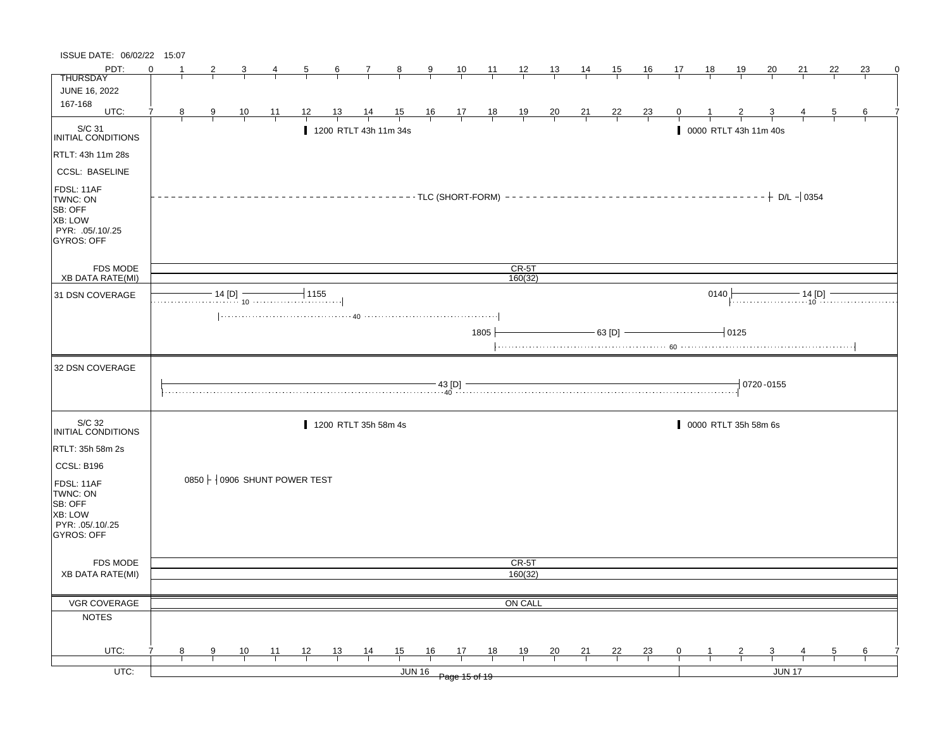| ISSUE DATE: 06/02/22 15:07                                                            |          |                            |               |                |                                |                |    |                |                                                |                       |               |                         |                         |                  |    |                |                                                                |    |                |    |                       |                 |        |                |    |          |
|---------------------------------------------------------------------------------------|----------|----------------------------|---------------|----------------|--------------------------------|----------------|----|----------------|------------------------------------------------|-----------------------|---------------|-------------------------|-------------------------|------------------|----|----------------|----------------------------------------------------------------|----|----------------|----|-----------------------|-----------------|--------|----------------|----|----------|
| PDT:                                                                                  | $\Omega$ |                            |               | $\mathbf{3}$   | $\overline{4}$                 | $\overline{5}$ |    | $6\overline{}$ | $\frac{7}{1}$ 8                                |                       | $\frac{9}{ }$ |                         | $\frac{10}{1}$ 11 12 13 |                  |    | $\frac{14}{1}$ | $\frac{15}{1}$                                                 | 16 | 17             | 18 | <u>19</u>             | $\overline{20}$ | 21     | 22             | 23 | $\Omega$ |
| <b>THURSDAY</b>                                                                       |          |                            |               |                |                                |                |    |                |                                                |                       |               |                         |                         |                  |    |                |                                                                |    |                |    |                       |                 |        |                |    |          |
| <b>JUNE 16, 2022</b>                                                                  |          |                            |               |                |                                |                |    |                |                                                |                       |               |                         |                         |                  |    |                |                                                                |    |                |    |                       |                 |        |                |    |          |
| 167-168<br>UTC:                                                                       | 7        |                            |               |                |                                |                |    |                |                                                |                       |               |                         |                         |                  |    |                |                                                                |    |                |    |                       |                 |        |                |    |          |
|                                                                                       |          | 8                          | $\frac{9}{1}$ | $\frac{10}{1}$ | $\frac{11}{1}$                 |                | 12 |                |                                                |                       |               | 13 14 15 16 17 18 19 20 |                         |                  |    |                | $\begin{array}{c cc} 21 & 22 & 23 \\ \hline & & & \end{array}$ |    | $\overline{0}$ |    |                       |                 |        | $\overline{5}$ | 6  |          |
| S/C 31<br>INITIAL CONDITIONS                                                          |          |                            |               |                |                                |                |    |                |                                                | 1200 RTLT 43h 11m 34s |               |                         |                         |                  |    |                |                                                                |    |                |    | 0000 RTLT 43h 11m 40s |                 |        |                |    |          |
| RTLT: 43h 11m 28s                                                                     |          |                            |               |                |                                |                |    |                |                                                |                       |               |                         |                         |                  |    |                |                                                                |    |                |    |                       |                 |        |                |    |          |
| <b>CCSL: BASELINE</b>                                                                 |          |                            |               |                |                                |                |    |                |                                                |                       |               |                         |                         |                  |    |                |                                                                |    |                |    |                       |                 |        |                |    |          |
| FDSL: 11AF<br>TWNC: ON<br>SB: OFF<br>XB: LOW<br>PYR: .05/.10/.25<br><b>GYROS: OFF</b> |          |                            |               |                |                                |                |    |                |                                                |                       |               |                         |                         |                  |    |                |                                                                |    |                |    |                       |                 |        |                |    |          |
| <b>FDS MODE</b>                                                                       |          | $CR-5T$<br>160(32)<br>0140 |               |                |                                |                |    |                |                                                |                       |               |                         |                         |                  |    |                |                                                                |    |                |    |                       |                 |        |                |    |          |
| <b>XB DATA RATE(MI)</b>                                                               |          |                            |               |                |                                |                |    |                |                                                |                       |               |                         |                         |                  |    |                |                                                                |    |                |    |                       |                 |        |                |    |          |
| 31 DSN COVERAGE                                                                       |          |                            |               |                |                                |                |    |                |                                                |                       |               |                         |                         |                  |    |                |                                                                |    |                |    |                       |                 |        |                |    |          |
|                                                                                       |          |                            |               |                |                                |                |    |                |                                                |                       |               |                         |                         |                  |    |                |                                                                |    |                |    |                       |                 |        |                |    |          |
| 32 DSN COVERAGE                                                                       |          |                            |               |                |                                |                |    |                |                                                |                       |               |                         |                         |                  |    |                |                                                                |    |                |    |                       |                 |        |                |    |          |
|                                                                                       |          |                            |               |                |                                |                |    |                | $-63$ [D] $-$<br>$-10125$<br>1805<br>0720-0155 |                       |               |                         |                         |                  |    |                |                                                                |    |                |    |                       |                 |        |                |    |          |
|                                                                                       |          |                            |               |                |                                |                |    |                |                                                |                       |               |                         |                         |                  |    |                |                                                                |    |                |    |                       |                 |        |                |    |          |
| S/C 32<br>INITIAL CONDITIONS                                                          |          |                            |               |                |                                |                |    |                | 1200 RTLT 35h 58m 4s                           |                       |               |                         |                         |                  |    |                |                                                                |    |                |    | 0000 RTLT 35h 58m 6s  |                 |        |                |    |          |
| RTLT: 35h 58m 2s                                                                      |          |                            |               |                |                                |                |    |                |                                                |                       |               |                         |                         |                  |    |                |                                                                |    |                |    |                       |                 |        |                |    |          |
|                                                                                       |          |                            |               |                |                                |                |    |                |                                                |                       |               |                         |                         |                  |    |                |                                                                |    |                |    |                       |                 |        |                |    |          |
| CCSL: B196<br>FDSL: 11AF<br>TWNC: ON<br>SB: OFF<br>XB: LOW                            |          |                            |               |                | $0850 + 0906$ SHUNT POWER TEST |                |    |                |                                                |                       |               |                         |                         |                  |    |                |                                                                |    |                |    |                       |                 |        |                |    |          |
| PYR: 05/10/25<br>GYROS: OFF                                                           |          |                            |               |                |                                |                |    |                |                                                |                       |               |                         |                         |                  |    |                |                                                                |    |                |    |                       |                 |        |                |    |          |
|                                                                                       |          |                            |               |                |                                |                |    |                |                                                |                       |               |                         |                         |                  |    |                |                                                                |    |                |    |                       |                 |        |                |    |          |
| <b>FDS MODE</b><br><b>XB DATA RATE(MI)</b>                                            |          |                            |               |                |                                |                |    |                |                                                |                       |               |                         |                         | CR-5T<br>160(32) |    |                |                                                                |    |                |    |                       |                 |        |                |    |          |
|                                                                                       |          |                            |               |                |                                |                |    |                |                                                |                       |               |                         |                         |                  |    |                |                                                                |    |                |    |                       |                 |        |                |    |          |
|                                                                                       |          |                            |               |                |                                |                |    |                |                                                |                       |               |                         |                         |                  |    |                |                                                                |    |                |    |                       |                 |        |                |    |          |
| VGR COVERAGE                                                                          |          |                            |               |                |                                |                |    |                |                                                |                       |               |                         |                         | ON CALL          |    |                |                                                                |    |                |    |                       |                 |        |                |    |          |
| <b>NOTES</b>                                                                          |          |                            |               |                |                                |                |    |                |                                                |                       |               |                         |                         |                  |    |                |                                                                |    |                |    |                       |                 |        |                |    |          |
| UTC:                                                                                  |          | 8                          | 9             | 10             | 11                             | 12             |    | 13             |                                                | 15                    | 16            | 17                      | 18                      | 19               | 20 | 21             | 22                                                             | 23 | $\mathbf{0}$   |    | 2                     | 3               |        | 5              | 6  |          |
| UTC:                                                                                  |          |                            |               |                |                                |                |    |                | $\frac{14}{1}$                                 |                       | <b>JUN 16</b> |                         |                         |                  |    |                |                                                                |    |                |    |                       |                 | JUN 17 |                |    |          |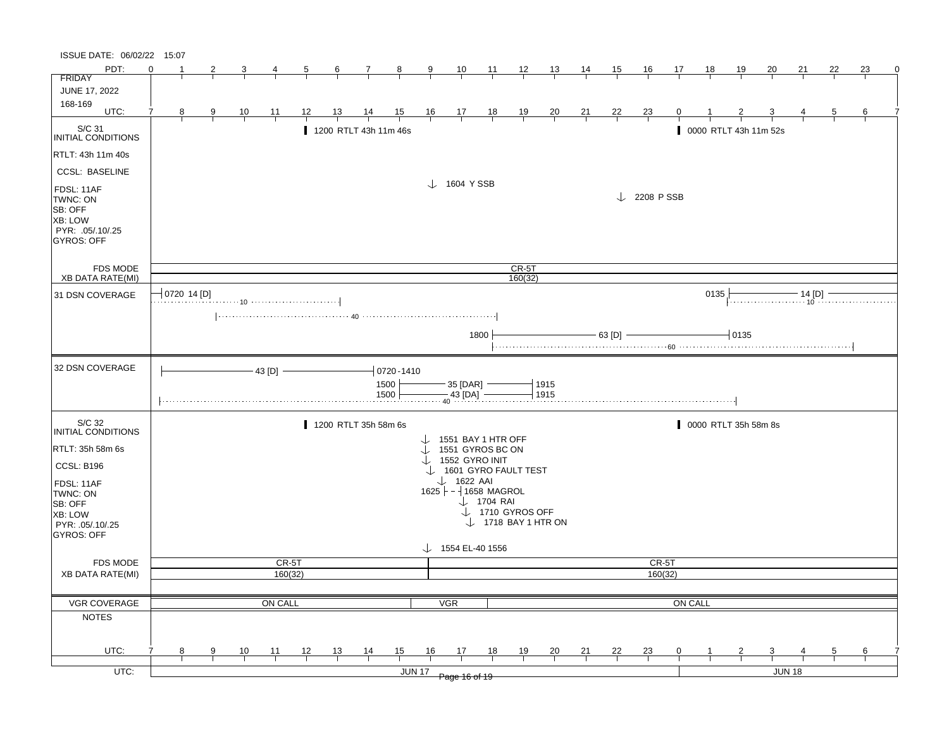| ISSUE DATE: 06/02/22 15:07                                                            |          |                           |   |                |               |    |                       |                |                |                |                                                     |                       |                                                               |               |                |                |                        |                |      |                       |                         |        |    |                 |   |
|---------------------------------------------------------------------------------------|----------|---------------------------|---|----------------|---------------|----|-----------------------|----------------|----------------|----------------|-----------------------------------------------------|-----------------------|---------------------------------------------------------------|---------------|----------------|----------------|------------------------|----------------|------|-----------------------|-------------------------|--------|----|-----------------|---|
| PDT:                                                                                  | $\Omega$ |                           |   |                |               |    | 6                     | $\mathcal{I}$  | $\frac{8}{3}$  | 9              | $\frac{10}{1}$                                      | $\overline{11}$       | $\frac{12}{ }$                                                | 13            | <u>14</u>      | 15             | 16                     | 17             | 18   | 19                    | 20                      | 21     | 22 | 23              | 0 |
| <b>FRIDAY</b>                                                                         |          |                           |   |                |               |    |                       |                |                |                |                                                     |                       |                                                               |               |                |                |                        |                |      |                       |                         |        |    |                 |   |
| JUNE 17, 2022                                                                         |          |                           |   |                |               |    |                       |                |                |                |                                                     |                       |                                                               |               |                |                |                        |                |      |                       |                         |        |    |                 |   |
| 168-169<br>UTC:                                                                       |          | 8                         | 9 |                | 11            | 12 | <u>13</u>             |                | 15             |                |                                                     |                       |                                                               |               |                | <u>22</u>      |                        |                |      |                       |                         |        |    | 6               |   |
|                                                                                       |          |                           |   | $\frac{10}{1}$ |               |    |                       | $\frac{14}{1}$ |                | $\frac{16}{1}$ | $\frac{17}{1}$                                      | $\frac{18}{1}$        | $\frac{19}{1}$                                                | $\frac{20}{}$ | $\frac{21}{1}$ |                | $\frac{23}{}$          |                |      |                       |                         |        |    |                 |   |
| S/C 31<br>INITIAL CONDITIONS                                                          |          |                           |   |                |               |    | 1200 RTLT 43h 11m 46s |                |                |                |                                                     |                       |                                                               |               |                |                |                        |                |      | 0000 RTLT 43h 11m 52s |                         |        |    |                 |   |
| RTLT: 43h 11m 40s                                                                     |          |                           |   |                |               |    |                       |                |                |                |                                                     |                       |                                                               |               |                |                |                        |                |      |                       |                         |        |    |                 |   |
| <b>CCSL: BASELINE</b>                                                                 |          |                           |   |                |               |    |                       |                |                |                |                                                     |                       |                                                               |               |                |                |                        |                |      |                       |                         |        |    |                 |   |
| FDSL: 11AF<br>TWNC: ON<br>SB: OFF<br>XB: LOW<br>PYR: .05/.10/.25<br><b>GYROS: OFF</b> |          |                           |   |                |               |    |                       |                |                |                | $\downarrow$ 1604 YSSB                              |                       |                                                               |               |                |                | $\downarrow$ 2208 PSSB |                |      |                       |                         |        |    |                 |   |
| <b>FDS MODE</b>                                                                       |          |                           |   |                |               |    |                       |                |                |                |                                                     |                       | CR-5T                                                         |               |                |                |                        |                |      |                       |                         |        |    |                 |   |
| <b>XB DATA RATE(MI)</b>                                                               |          |                           |   |                |               |    |                       |                |                |                |                                                     |                       | 160(32)                                                       |               |                |                |                        |                |      |                       |                         |        |    |                 |   |
| 31 DSN COVERAGE                                                                       |          | $\frac{1}{2}$ 0720 14 [D] |   |                |               |    |                       |                |                |                |                                                     |                       |                                                               |               |                |                |                        |                | 0135 |                       | .                       |        |    |                 |   |
|                                                                                       |          |                           |   |                |               |    |                       |                |                |                |                                                     |                       |                                                               |               |                |                |                        |                |      |                       |                         |        |    |                 |   |
|                                                                                       |          |                           |   |                |               |    |                       |                |                |                |                                                     |                       |                                                               |               |                |                |                        |                |      |                       |                         |        |    |                 |   |
|                                                                                       |          |                           |   |                |               |    |                       |                |                |                |                                                     | 1800                  |                                                               |               |                | - 63 [D] -     |                        |                |      | 10135                 |                         |        |    |                 |   |
|                                                                                       |          |                           |   |                |               |    |                       |                |                |                |                                                     |                       |                                                               |               |                |                |                        |                |      |                       |                         |        |    |                 |   |
| 32 DSN COVERAGE                                                                       |          |                           |   |                | $-43$ [D] $-$ |    |                       |                | $-0720 - 1410$ |                |                                                     |                       |                                                               |               |                |                |                        |                |      |                       |                         |        |    |                 |   |
|                                                                                       |          |                           |   |                |               |    |                       |                | 1500           |                | $-35$ [DAR] $-$                                     |                       |                                                               | 1915          |                |                |                        |                |      |                       |                         |        |    |                 |   |
|                                                                                       |          |                           |   |                |               |    |                       |                | 1500           |                | $-43$ [DA] -                                        |                       |                                                               | 1915          |                |                |                        |                |      |                       |                         |        |    |                 |   |
|                                                                                       |          |                           |   |                |               |    |                       |                |                |                |                                                     |                       |                                                               |               |                |                |                        |                |      |                       |                         |        |    |                 |   |
| S/C 32                                                                                |          |                           |   |                |               |    | 1200 RTLT 35h 58m 6s  |                |                |                |                                                     |                       |                                                               |               |                |                |                        |                |      | 0000 RTLT 35h 58m 8s  |                         |        |    |                 |   |
| <b>INITIAL CONDITIONS</b>                                                             |          |                           |   |                |               |    |                       |                |                |                | 1551 BAY 1 HTR OFF                                  |                       |                                                               |               |                |                |                        |                |      |                       |                         |        |    |                 |   |
| RTLT: 35h 58m 6s                                                                      |          |                           |   |                |               |    |                       |                |                |                | 1551 GYROS BC ON                                    |                       |                                                               |               |                |                |                        |                |      |                       |                         |        |    |                 |   |
| CCSL: B196                                                                            |          |                           |   |                |               |    |                       |                |                |                | $\downarrow$ 1552 GYRO INIT<br>1601 GYRO FAULT TEST |                       |                                                               |               |                |                |                        |                |      |                       |                         |        |    |                 |   |
| FDSL: 11AF                                                                            |          |                           |   |                |               |    |                       |                |                |                | $\downarrow$ 1622 AAI                               |                       |                                                               |               |                |                |                        |                |      |                       |                         |        |    |                 |   |
| TWNC: ON                                                                              |          |                           |   |                |               |    |                       |                |                |                | $1625$ - $-1658$ MAGROL                             |                       |                                                               |               |                |                |                        |                |      |                       |                         |        |    |                 |   |
| SB: OFF                                                                               |          |                           |   |                |               |    |                       |                |                |                |                                                     | $\downarrow$ 1704 RAI |                                                               |               |                |                |                        |                |      |                       |                         |        |    |                 |   |
| XB: LOW                                                                               |          |                           |   |                |               |    |                       |                |                |                |                                                     |                       | $\downarrow$ 1710 GYROS OFF<br>$\downarrow$ 1718 BAY 1 HTR ON |               |                |                |                        |                |      |                       |                         |        |    |                 |   |
| PYR: .05/.10/.25<br><b>GYROS: OFF</b>                                                 |          |                           |   |                |               |    |                       |                |                |                |                                                     |                       |                                                               |               |                |                |                        |                |      |                       |                         |        |    |                 |   |
|                                                                                       |          |                           |   |                |               |    |                       |                |                |                | $\downarrow$ 1554 EL-40 1556                        |                       |                                                               |               |                |                |                        |                |      |                       |                         |        |    |                 |   |
| <b>FDS MODE</b>                                                                       |          |                           |   |                | CR-5T         |    |                       |                |                |                |                                                     |                       |                                                               |               |                |                | CR-5T                  |                |      |                       |                         |        |    |                 |   |
| <b>XB DATA RATE(MI)</b>                                                               |          |                           |   |                | 160(32)       |    |                       |                |                |                |                                                     |                       |                                                               |               |                |                | 160(32)                |                |      |                       |                         |        |    |                 |   |
|                                                                                       |          |                           |   |                |               |    |                       |                |                |                |                                                     |                       |                                                               |               |                |                |                        |                |      |                       |                         |        |    |                 |   |
| VGR COVERAGE                                                                          |          |                           |   |                | ON CALL       |    |                       |                |                |                | <b>VGR</b>                                          |                       |                                                               |               |                |                |                        | <b>ON CALL</b> |      |                       |                         |        |    |                 |   |
| <b>NOTES</b>                                                                          |          |                           |   |                |               |    |                       |                |                |                |                                                     |                       |                                                               |               |                |                |                        |                |      |                       |                         |        |    |                 |   |
|                                                                                       |          |                           |   |                |               |    |                       |                |                |                |                                                     |                       |                                                               |               |                |                |                        |                |      |                       |                         |        |    |                 |   |
|                                                                                       |          |                           |   |                |               |    |                       |                |                |                |                                                     |                       |                                                               |               |                |                |                        |                |      |                       |                         |        |    |                 |   |
| UTC:                                                                                  |          | 8                         | 9 | $\frac{10}{1}$ | <u> 11 </u>   | 12 | $\frac{13}{ }$        | $\frac{14}{1}$ | 15             | 16             | 17                                                  | <u>18</u>             | <u>19</u>                                                     | $\frac{20}{}$ | $\frac{21}{1}$ | $\frac{22}{1}$ | $\frac{23}{1}$         |                |      |                       | $\overline{\mathbf{3}}$ |        |    | $6\overline{6}$ |   |
| $UTC$ :                                                                               |          |                           |   |                |               |    |                       |                |                | <b>JUN 17</b>  |                                                     |                       |                                                               |               |                |                |                        |                |      |                       |                         | JUN 18 |    |                 |   |
|                                                                                       |          |                           |   |                |               |    |                       |                |                |                | Page 16 of 19                                       |                       |                                                               |               |                |                |                        |                |      |                       |                         |        |    |                 |   |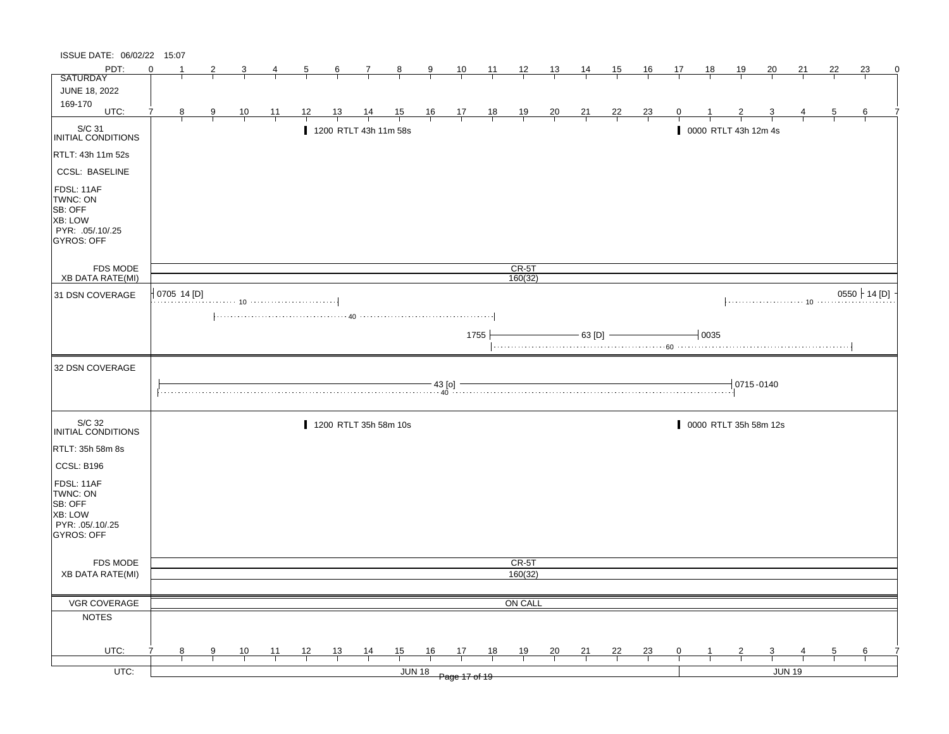| ISSUE DATE: 06/02/22 15:07                                                                |          |             |   |                |                |                |                |                       |                                                                                                                                                                                                                                                                                                                                                                    |                      |                                                      |                |                |                |                |                |                |                |           |                           |                         |               |                |                 |   |
|-------------------------------------------------------------------------------------------|----------|-------------|---|----------------|----------------|----------------|----------------|-----------------------|--------------------------------------------------------------------------------------------------------------------------------------------------------------------------------------------------------------------------------------------------------------------------------------------------------------------------------------------------------------------|----------------------|------------------------------------------------------|----------------|----------------|----------------|----------------|----------------|----------------|----------------|-----------|---------------------------|-------------------------|---------------|----------------|-----------------|---|
| PDT:                                                                                      | $\Omega$ |             | 2 |                |                | $\mathbf{p}$   | $\frac{6}{6}$  | $\mathcal{I}$         | $\frac{8}{ }$                                                                                                                                                                                                                                                                                                                                                      | $\frac{9}{5}$        | $\frac{10}{ }$                                       | $\frac{11}{2}$ | $\frac{12}{ }$ | $\frac{13}{2}$ | $\frac{14}{1}$ | 15             | $\frac{16}{1}$ | 17             | <u>18</u> | <u>19</u>                 | <u>20</u>               | 21            | 22             | 23              | 0 |
| <b>SATURDAY</b>                                                                           |          |             |   |                |                |                |                |                       |                                                                                                                                                                                                                                                                                                                                                                    |                      |                                                      |                |                |                |                |                |                |                |           |                           |                         |               |                |                 |   |
| JUNE 18, 2022                                                                             |          |             |   |                |                |                |                |                       |                                                                                                                                                                                                                                                                                                                                                                    |                      |                                                      |                |                |                |                |                |                |                |           |                           |                         |               |                |                 |   |
| 169-170<br>UTC:                                                                           |          | 8           | 9 | $\frac{10}{1}$ | $\frac{11}{1}$ | <u> 12 </u>    | <u>13</u>      | $\frac{14}{1}$        | $\frac{15}{1}$                                                                                                                                                                                                                                                                                                                                                     |                      |                                                      | $\frac{18}{1}$ | $\frac{19}{1}$ | $\frac{20}{1}$ | $\frac{21}{1}$ | $\frac{22}{1}$ | $\frac{23}{1}$ |                |           |                           |                         |               | $\overline{5}$ | 6               |   |
|                                                                                           |          |             |   |                |                |                |                |                       |                                                                                                                                                                                                                                                                                                                                                                    |                      | $\begin{array}{c c}\n16 & 17 \\ \hline\n\end{array}$ |                |                |                |                |                |                |                |           |                           |                         |               |                |                 |   |
| S/C 31<br>INITIAL CONDITIONS                                                              |          |             |   |                |                |                |                | 1200 RTLT 43h 11m 58s |                                                                                                                                                                                                                                                                                                                                                                    |                      |                                                      |                |                |                |                |                |                |                |           | 0000 RTLT 43h 12m 4s      |                         |               |                |                 |   |
| RTLT: 43h 11m 52s                                                                         |          |             |   |                |                |                |                |                       |                                                                                                                                                                                                                                                                                                                                                                    |                      |                                                      |                |                |                |                |                |                |                |           |                           |                         |               |                |                 |   |
| <b>CCSL: BASELINE</b>                                                                     |          |             |   |                |                |                |                |                       |                                                                                                                                                                                                                                                                                                                                                                    |                      |                                                      |                |                |                |                |                |                |                |           |                           |                         |               |                |                 |   |
| FDSL: 11AF<br>TWNC: ON<br>SB: OFF<br>XB: LOW<br>PYR: .05/.10/.25<br>GYROS: OFF            |          |             |   |                |                |                |                |                       |                                                                                                                                                                                                                                                                                                                                                                    |                      |                                                      |                |                |                |                |                |                |                |           |                           |                         |               |                |                 |   |
| FDS MODE                                                                                  |          |             |   |                |                |                |                |                       |                                                                                                                                                                                                                                                                                                                                                                    |                      |                                                      |                | $CR-5T$        |                |                |                |                |                |           |                           |                         |               |                |                 |   |
| <b>XB DATA RATE(MI)</b>                                                                   |          |             |   |                |                |                |                |                       |                                                                                                                                                                                                                                                                                                                                                                    |                      |                                                      |                | 160(32)        |                |                |                |                |                |           |                           |                         |               |                |                 |   |
| 31 DSN COVERAGE                                                                           |          | 0705 14 [D] |   |                |                |                |                |                       |                                                                                                                                                                                                                                                                                                                                                                    |                      |                                                      |                |                |                |                |                |                |                |           |                           |                         |               |                | $0550$ + 14 [D] |   |
|                                                                                           |          |             |   |                |                |                |                |                       |                                                                                                                                                                                                                                                                                                                                                                    |                      |                                                      | 1755           |                |                | $-$ 63 [D] $-$ |                |                |                | $+0035$   |                           |                         |               |                |                 |   |
| 32 DSN COVERAGE                                                                           |          |             |   |                |                |                |                |                       |                                                                                                                                                                                                                                                                                                                                                                    |                      |                                                      |                |                |                |                |                |                |                |           |                           |                         |               |                |                 |   |
|                                                                                           |          |             |   |                |                |                |                |                       | $\begin{picture}(150,10) \put(0,0){\vector(1,0){100}} \put(15,0){\vector(1,0){100}} \put(15,0){\vector(1,0){100}} \put(15,0){\vector(1,0){100}} \put(15,0){\vector(1,0){100}} \put(15,0){\vector(1,0){100}} \put(15,0){\vector(1,0){100}} \put(15,0){\vector(1,0){100}} \put(15,0){\vector(1,0){100}} \put(15,0){\vector(1,0){100}} \put(15,0){\vector(1,0){100}}$ |                      |                                                      |                |                |                |                |                |                |                |           | $\frac{1}{2}$ 0715 - 0140 |                         |               |                |                 |   |
| S/C 32<br>INITIAL CONDITIONS                                                              |          |             |   |                |                |                |                | 1200 RTLT 35h 58m 10s |                                                                                                                                                                                                                                                                                                                                                                    |                      |                                                      |                |                |                |                |                |                |                |           |                           | 0000 RTLT 35h 58m 12s   |               |                |                 |   |
| RTLT: 35h 58m 8s                                                                          |          |             |   |                |                |                |                |                       |                                                                                                                                                                                                                                                                                                                                                                    |                      |                                                      |                |                |                |                |                |                |                |           |                           |                         |               |                |                 |   |
| CCSL: B196                                                                                |          |             |   |                |                |                |                |                       |                                                                                                                                                                                                                                                                                                                                                                    |                      |                                                      |                |                |                |                |                |                |                |           |                           |                         |               |                |                 |   |
| FDSL: 11AF<br>TWNC: ON<br>SB: OFF<br><b>XB: LOW</b><br>PYR: 05/10/25<br><b>GYROS: OFF</b> |          |             |   |                |                |                |                |                       |                                                                                                                                                                                                                                                                                                                                                                    |                      |                                                      |                |                |                |                |                |                |                |           |                           |                         |               |                |                 |   |
| FDS MODE                                                                                  |          |             |   |                |                |                |                |                       |                                                                                                                                                                                                                                                                                                                                                                    |                      |                                                      |                | CR-5T          |                |                |                |                |                |           |                           |                         |               |                |                 |   |
| <b>XB DATA RATE(MI)</b>                                                                   |          |             |   |                |                |                |                |                       |                                                                                                                                                                                                                                                                                                                                                                    |                      |                                                      |                | 160(32)        |                |                |                |                |                |           |                           |                         |               |                |                 |   |
|                                                                                           |          |             |   |                |                |                |                |                       |                                                                                                                                                                                                                                                                                                                                                                    |                      |                                                      |                |                |                |                |                |                |                |           |                           |                         |               |                |                 |   |
| VGR COVERAGE                                                                              |          |             |   |                |                |                |                |                       |                                                                                                                                                                                                                                                                                                                                                                    |                      |                                                      |                | ON CALL        |                |                |                |                |                |           |                           |                         |               |                |                 |   |
| <b>NOTES</b>                                                                              |          |             |   |                |                |                |                |                       |                                                                                                                                                                                                                                                                                                                                                                    |                      |                                                      |                |                |                |                |                |                |                |           |                           |                         |               |                |                 |   |
| UTC:                                                                                      |          |             |   |                |                |                |                |                       |                                                                                                                                                                                                                                                                                                                                                                    |                      |                                                      |                |                |                |                |                |                |                |           |                           |                         |               |                |                 |   |
|                                                                                           |          | 8           | 9 | $\frac{10}{ }$ | $\frac{11}{1}$ | $\frac{12}{ }$ | $\frac{13}{ }$ | $\frac{14}{1}$        | $\frac{15}{1}$                                                                                                                                                                                                                                                                                                                                                     | 16                   | 17                                                   | 18             | $\frac{19}{1}$ | $\frac{20}{}$  | $\frac{21}{1}$ | $\frac{22}{1}$ | $\frac{23}{ }$ | $\overline{0}$ |           | $\overline{z}$            | $\overline{\mathbf{3}}$ |               | $\overline{5}$ | 6               |   |
| $UTC$ :                                                                                   |          |             |   |                |                |                |                |                       |                                                                                                                                                                                                                                                                                                                                                                    | JUN 18 Page 17 of 19 |                                                      |                |                |                |                |                |                |                |           |                           |                         | <b>JUN 19</b> |                |                 |   |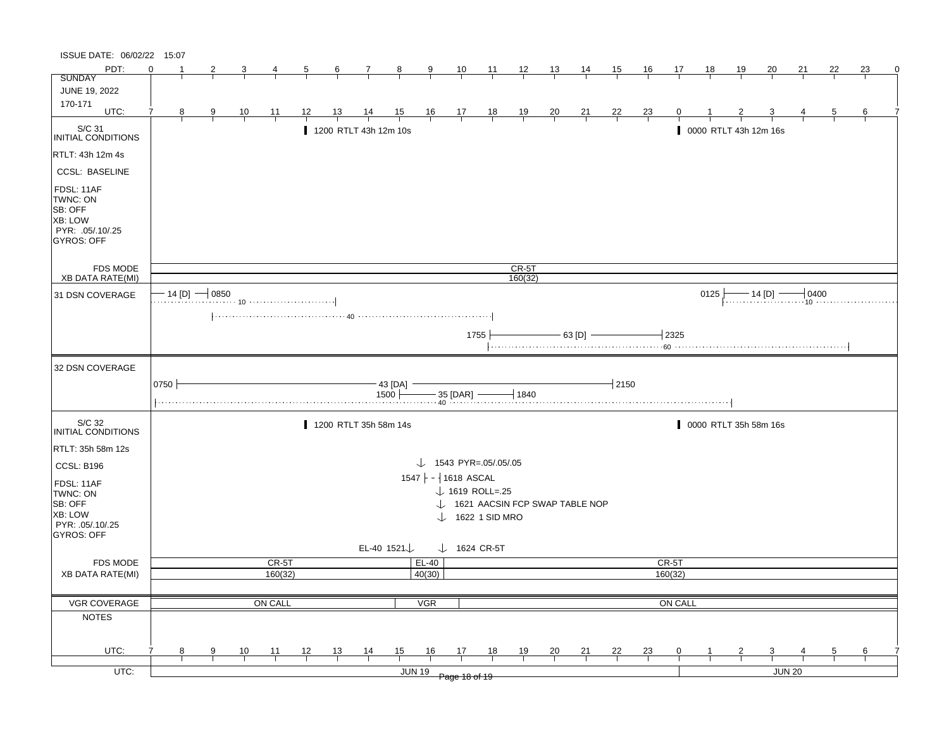| ISSUE DATE: 06/02/22 15:07                                                                   |          |   |                     |                |                |                |                |                                      |                         |                                   |                         |                             |                |                                             |                |                |                |         |           |            |                       |        |    |                                             |          |
|----------------------------------------------------------------------------------------------|----------|---|---------------------|----------------|----------------|----------------|----------------|--------------------------------------|-------------------------|-----------------------------------|-------------------------|-----------------------------|----------------|---------------------------------------------|----------------|----------------|----------------|---------|-----------|------------|-----------------------|--------|----|---------------------------------------------|----------|
| PDT:                                                                                         | $\Omega$ |   |                     |                |                | $\overline{a}$ | $\frac{6}{ }$  | $\mathcal{I}$                        | $\frac{8}{1}$           | $\overline{\mathbf{a}}$           | $\frac{10}{1}$          | $\frac{11}{1}$              | $\frac{12}{ }$ | $\frac{13}{2}$                              | $\frac{14}{1}$ | <u>15</u>      | <u>16</u>      | 17      | <u>18</u> | <u> 19</u> | 20                    | 21     | 22 | 23                                          | $\Omega$ |
| <b>SUNDAY</b>                                                                                |          |   |                     |                |                |                |                |                                      |                         |                                   |                         |                             |                |                                             |                |                |                |         |           |            |                       |        |    |                                             |          |
| JUNE 19, 2022                                                                                |          |   |                     |                |                |                |                |                                      |                         |                                   |                         |                             |                |                                             |                |                |                |         |           |            |                       |        |    |                                             |          |
| 170-171<br>UTC:                                                                              |          | 8 | 9                   |                |                | <u>12</u>      | <u>13</u>      |                                      |                         |                                   |                         |                             |                |                                             |                |                |                |         |           |            |                       |        |    | 6                                           |          |
|                                                                                              |          |   |                     | $\frac{10}{1}$ | $\frac{11}{1}$ |                |                | $\frac{14}{1}$                       | $\frac{15}{1}$          |                                   | $\frac{16}{1}$ 17 18    |                             | $\frac{19}{1}$ | $\frac{20}{}$                               | $\frac{21}{1}$ | $\frac{22}{1}$ | $\frac{23}{}$  |         |           |            |                       |        |    |                                             |          |
| S/C 31<br>INITIAL CONDITIONS                                                                 |          |   |                     |                |                |                |                | 1200 RTLT 43h 12m 10s                |                         |                                   |                         |                             |                |                                             |                |                |                |         |           |            | 0000 RTLT 43h 12m 16s |        |    |                                             |          |
| RTLT: 43h 12m 4s                                                                             |          |   |                     |                |                |                |                |                                      |                         |                                   |                         |                             |                |                                             |                |                |                |         |           |            |                       |        |    |                                             |          |
| <b>CCSL: BASELINE</b>                                                                        |          |   |                     |                |                |                |                |                                      |                         |                                   |                         |                             |                |                                             |                |                |                |         |           |            |                       |        |    |                                             |          |
| FDSL: 11AF<br>TWNC: ON<br>SB: OFF<br><b>XB: LOW</b><br>PYR: .05/.10/.25<br><b>GYROS: OFF</b> |          |   |                     |                |                |                |                |                                      |                         |                                   |                         |                             |                |                                             |                |                |                |         |           |            |                       |        |    |                                             |          |
| <b>FDS MODE</b>                                                                              |          |   |                     |                |                |                |                |                                      |                         |                                   |                         |                             | $CR-5T$        |                                             |                |                |                |         |           |            |                       |        |    |                                             |          |
| <b>XB DATA RATE(MI)</b>                                                                      |          |   |                     |                |                |                |                |                                      |                         |                                   |                         |                             | 160(32)        |                                             |                |                |                |         |           |            |                       |        |    |                                             |          |
| 31 DSN COVERAGE                                                                              |          |   | $-$ 14 [D] $-$ 0850 |                |                |                |                |                                      |                         |                                   |                         |                             |                |                                             |                |                |                |         | 0125      |            |                       |        |    | $\frac{14}{10}$ 14 [D] $\frac{14}{10}$ 0400 |          |
|                                                                                              |          |   |                     |                |                |                |                |                                      |                         |                                   |                         |                             |                |                                             |                |                |                |         |           |            |                       |        |    |                                             |          |
|                                                                                              |          |   |                     |                |                |                |                |                                      |                         |                                   |                         | 1755                        |                |                                             | $-$ 63 [D] $-$ |                |                | $-2325$ |           |            |                       |        |    |                                             |          |
|                                                                                              |          |   |                     |                |                |                |                |                                      |                         |                                   |                         |                             |                |                                             |                |                |                |         |           |            |                       |        |    |                                             |          |
| 32 DSN COVERAGE                                                                              |          |   |                     |                |                |                |                |                                      |                         |                                   |                         |                             |                |                                             |                |                |                |         |           |            |                       |        |    |                                             |          |
|                                                                                              |          |   |                     |                |                |                |                |                                      |                         |                                   |                         |                             |                |                                             |                |                |                |         |           |            |                       |        |    |                                             |          |
|                                                                                              | 0750     |   |                     |                |                |                |                |                                      | $-$ 43 [DA] $-$         |                                   |                         |                             |                |                                             |                | $-12150$       |                |         |           |            |                       |        |    |                                             |          |
|                                                                                              |          |   |                     |                |                |                |                | $1500$ $+$ $   35$ [DAR] $ +$ $1840$ |                         |                                   |                         |                             |                |                                             |                |                |                |         |           |            |                       |        |    |                                             |          |
|                                                                                              |          |   |                     |                |                |                |                |                                      |                         |                                   |                         |                             |                |                                             |                |                |                |         |           |            |                       |        |    |                                             |          |
| S/C 32<br>INITIAL CONDITIONS                                                                 |          |   |                     |                |                |                |                | 1200 RTLT 35h 58m 14s                |                         |                                   |                         |                             |                |                                             |                |                |                |         |           |            | 0000 RTLT 35h 58m 16s |        |    |                                             |          |
| RTLT: 35h 58m 12s                                                                            |          |   |                     |                |                |                |                |                                      |                         |                                   |                         |                             |                |                                             |                |                |                |         |           |            |                       |        |    |                                             |          |
|                                                                                              |          |   |                     |                |                |                |                |                                      |                         | $\downarrow$ 1543 PYR=.05/.05/.05 |                         |                             |                |                                             |                |                |                |         |           |            |                       |        |    |                                             |          |
| <b>CCSL: B196</b>                                                                            |          |   |                     |                |                |                |                |                                      |                         | $1547$ - 1618 ASCAL               |                         |                             |                |                                             |                |                |                |         |           |            |                       |        |    |                                             |          |
| FDSL: 11AF                                                                                   |          |   |                     |                |                |                |                |                                      |                         |                                   |                         |                             |                |                                             |                |                |                |         |           |            |                       |        |    |                                             |          |
| TWNC: ON                                                                                     |          |   |                     |                |                |                |                |                                      |                         |                                   |                         | $\downarrow$ 1619 ROLL=.25  |                |                                             |                |                |                |         |           |            |                       |        |    |                                             |          |
| SB: OFF<br><b>XB: LOW</b>                                                                    |          |   |                     |                |                |                |                |                                      |                         |                                   |                         |                             |                | $\downarrow$ 1621 AACSIN FCP SWAP TABLE NOP |                |                |                |         |           |            |                       |        |    |                                             |          |
| PYR: 05/10/25                                                                                |          |   |                     |                |                |                |                |                                      |                         |                                   |                         | $\downarrow$ 1622 1 SID MRO |                |                                             |                |                |                |         |           |            |                       |        |    |                                             |          |
| GYROS: OFF                                                                                   |          |   |                     |                |                |                |                |                                      |                         |                                   |                         |                             |                |                                             |                |                |                |         |           |            |                       |        |    |                                             |          |
|                                                                                              |          |   |                     |                |                |                |                |                                      | EL-40 1521 $\downarrow$ |                                   | $\downarrow$ 1624 CR-5T |                             |                |                                             |                |                |                |         |           |            |                       |        |    |                                             |          |
| <b>FDS MODE</b>                                                                              |          |   |                     |                | CR-5T          |                |                |                                      |                         | EL-40                             |                         |                             |                |                                             |                |                |                | CR-5T   |           |            |                       |        |    |                                             |          |
| <b>XB DATA RATE(MI)</b>                                                                      |          |   |                     |                | 160(32)        |                |                |                                      |                         | 40(30)                            |                         |                             |                |                                             |                |                |                | 160(32) |           |            |                       |        |    |                                             |          |
|                                                                                              |          |   |                     |                |                |                |                |                                      |                         |                                   |                         |                             |                |                                             |                |                |                |         |           |            |                       |        |    |                                             |          |
| VGR COVERAGE                                                                                 |          |   |                     |                | ON CALL        |                |                |                                      |                         | <b>VGR</b>                        |                         |                             |                |                                             |                |                |                | ON CALL |           |            |                       |        |    |                                             |          |
| <b>NOTES</b>                                                                                 |          |   |                     |                |                |                |                |                                      |                         |                                   |                         |                             |                |                                             |                |                |                |         |           |            |                       |        |    |                                             |          |
|                                                                                              |          |   |                     |                |                |                |                |                                      |                         |                                   |                         |                             |                |                                             |                |                |                |         |           |            |                       |        |    |                                             |          |
|                                                                                              |          |   |                     |                |                |                |                |                                      |                         |                                   |                         |                             |                |                                             |                |                |                |         |           |            |                       |        |    |                                             |          |
|                                                                                              |          |   |                     |                |                |                |                |                                      |                         |                                   |                         |                             |                |                                             |                |                |                |         |           |            |                       |        |    |                                             |          |
| UTC:<br>$UTC$ :                                                                              |          | 8 | 9                   | $\frac{10}{1}$ | $\frac{11}{1}$ | 12             | $\frac{13}{1}$ | $\frac{14}{1}$                       | 15<br><b>JUN 19</b>     | 16                                | 17                      | 18                          | $\frac{19}{1}$ | $\frac{20}{}$                               | $\frac{21}{1}$ | $\frac{22}{1}$ | $\frac{23}{1}$ | 0       |           |            | 3                     | JUN 20 |    | 6                                           |          |